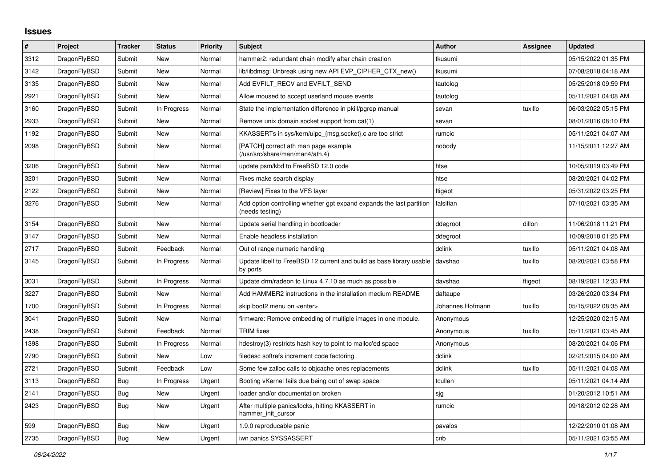## **Issues**

| #    | <b>Project</b> | <b>Tracker</b> | <b>Status</b> | <b>Priority</b> | <b>Subject</b>                                                                          | <b>Author</b>    | Assignee | <b>Updated</b>      |
|------|----------------|----------------|---------------|-----------------|-----------------------------------------------------------------------------------------|------------------|----------|---------------------|
| 3312 | DragonFlyBSD   | Submit         | <b>New</b>    | Normal          | hammer2: redundant chain modify after chain creation                                    | tkusumi          |          | 05/15/2022 01:35 PM |
| 3142 | DragonFlyBSD   | Submit         | <b>New</b>    | Normal          | lib/libdmsg: Unbreak using new API EVP_CIPHER_CTX_new()                                 | tkusumi          |          | 07/08/2018 04:18 AM |
| 3135 | DragonFlyBSD   | Submit         | New           | Normal          | Add EVFILT_RECV and EVFILT_SEND                                                         | tautolog         |          | 05/25/2018 09:59 PM |
| 2921 | DragonFlyBSD   | Submit         | <b>New</b>    | Normal          | Allow moused to accept userland mouse events                                            | tautolog         |          | 05/11/2021 04:08 AM |
| 3160 | DragonFlyBSD   | Submit         | In Progress   | Normal          | State the implementation difference in pkill/pgrep manual                               | sevan            | tuxillo  | 06/03/2022 05:15 PM |
| 2933 | DragonFlyBSD   | Submit         | New           | Normal          | Remove unix domain socket support from cat(1)                                           | sevan            |          | 08/01/2016 08:10 PM |
| 1192 | DragonFlyBSD   | Submit         | <b>New</b>    | Normal          | KKASSERTs in sys/kern/uipc_{msg,socket}.c are too strict                                | rumcic           |          | 05/11/2021 04:07 AM |
| 2098 | DragonFlyBSD   | Submit         | New           | Normal          | [PATCH] correct ath man page example<br>(/usr/src/share/man/man4/ath.4)                 | nobody           |          | 11/15/2011 12:27 AM |
| 3206 | DragonFlyBSD   | Submit         | New           | Normal          | update psm/kbd to FreeBSD 12.0 code                                                     | htse             |          | 10/05/2019 03:49 PM |
| 3201 | DragonFlyBSD   | Submit         | <b>New</b>    | Normal          | Fixes make search display                                                               | htse             |          | 08/20/2021 04:02 PM |
| 2122 | DragonFlyBSD   | Submit         | <b>New</b>    | Normal          | [Review] Fixes to the VFS layer                                                         | ftigeot          |          | 05/31/2022 03:25 PM |
| 3276 | DragonFlyBSD   | Submit         | <b>New</b>    | Normal          | Add option controlling whether gpt expand expands the last partition<br>(needs testing) | falsifian        |          | 07/10/2021 03:35 AM |
| 3154 | DragonFlyBSD   | Submit         | <b>New</b>    | Normal          | Update serial handling in bootloader                                                    | ddegroot         | dillon   | 11/06/2018 11:21 PM |
| 3147 | DragonFlyBSD   | Submit         | New           | Normal          | Enable headless installation                                                            | ddegroot         |          | 10/09/2018 01:25 PM |
| 2717 | DragonFlyBSD   | Submit         | Feedback      | Normal          | Out of range numeric handling                                                           | dclink           | tuxillo  | 05/11/2021 04:08 AM |
| 3145 | DragonFlyBSD   | Submit         | In Progress   | Normal          | Update libelf to FreeBSD 12 current and build as base library usable<br>by ports        | davshao          | tuxillo  | 08/20/2021 03:58 PM |
| 3031 | DragonFlyBSD   | Submit         | In Progress   | Normal          | Update drm/radeon to Linux 4.7.10 as much as possible                                   | davshao          | ftigeot  | 08/19/2021 12:33 PM |
| 3227 | DragonFlyBSD   | Submit         | New           | Normal          | Add HAMMER2 instructions in the installation medium README                              | daftaupe         |          | 03/26/2020 03:34 PM |
| 1700 | DragonFlyBSD   | Submit         | In Progress   | Normal          | skip boot2 menu on <enter></enter>                                                      | Johannes.Hofmann | tuxillo  | 05/15/2022 08:35 AM |
| 3041 | DragonFlyBSD   | Submit         | New           | Normal          | firmware: Remove embedding of multiple images in one module.                            | Anonymous        |          | 12/25/2020 02:15 AM |
| 2438 | DragonFlyBSD   | Submit         | Feedback      | Normal          | <b>TRIM</b> fixes                                                                       | Anonymous        | tuxillo  | 05/11/2021 03:45 AM |
| 1398 | DragonFlyBSD   | Submit         | In Progress   | Normal          | hdestroy(3) restricts hash key to point to malloc'ed space                              | Anonymous        |          | 08/20/2021 04:06 PM |
| 2790 | DragonFlyBSD   | Submit         | <b>New</b>    | Low             | filedesc softrefs increment code factoring                                              | dclink           |          | 02/21/2015 04:00 AM |
| 2721 | DragonFlyBSD   | Submit         | Feedback      | Low             | Some few zalloc calls to objcache ones replacements                                     | dclink           | tuxillo  | 05/11/2021 04:08 AM |
| 3113 | DragonFlyBSD   | Bug            | In Progress   | Urgent          | Booting vKernel fails due being out of swap space                                       | tcullen          |          | 05/11/2021 04:14 AM |
| 2141 | DragonFlyBSD   | Bug            | <b>New</b>    | Urgent          | loader and/or documentation broken                                                      | sjg              |          | 01/20/2012 10:51 AM |
| 2423 | DragonFlyBSD   | Bug            | <b>New</b>    | Urgent          | After multiple panics/locks, hitting KKASSERT in<br>hammer_init_cursor                  | rumcic           |          | 09/18/2012 02:28 AM |
| 599  | DragonFlyBSD   | Bug            | <b>New</b>    | Urgent          | 1.9.0 reproducable panic                                                                | pavalos          |          | 12/22/2010 01:08 AM |
| 2735 | DragonFlyBSD   | Bug            | <b>New</b>    | Urgent          | iwn panics SYSSASSERT                                                                   | cnb              |          | 05/11/2021 03:55 AM |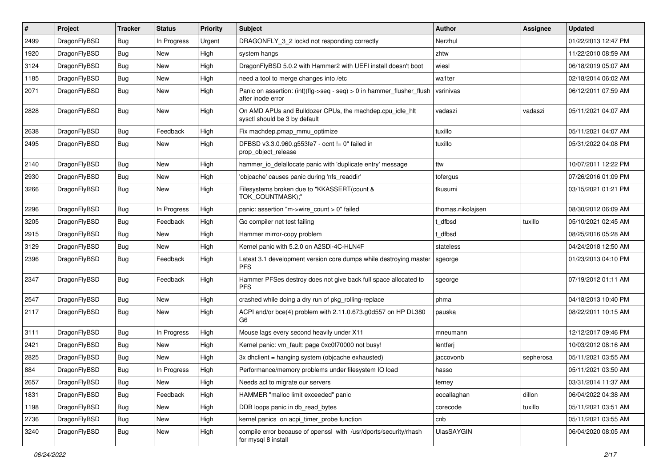| $\#$ | Project      | <b>Tracker</b> | <b>Status</b> | <b>Priority</b> | <b>Subject</b>                                                                             | <b>Author</b>     | Assignee  | <b>Updated</b>      |
|------|--------------|----------------|---------------|-----------------|--------------------------------------------------------------------------------------------|-------------------|-----------|---------------------|
| 2499 | DragonFlyBSD | Bug            | In Progress   | Urgent          | DRAGONFLY_3_2 lockd not responding correctly                                               | Nerzhul           |           | 01/22/2013 12:47 PM |
| 1920 | DragonFlyBSD | Bug            | <b>New</b>    | High            | system hangs                                                                               | zhtw              |           | 11/22/2010 08:59 AM |
| 3124 | DragonFlyBSD | Bug            | New           | High            | DragonFlyBSD 5.0.2 with Hammer2 with UEFI install doesn't boot                             | wiesl             |           | 06/18/2019 05:07 AM |
| 1185 | DragonFlyBSD | Bug            | <b>New</b>    | High            | need a tool to merge changes into /etc                                                     | wa1ter            |           | 02/18/2014 06:02 AM |
| 2071 | DragonFlyBSD | Bug            | New           | High            | Panic on assertion: (int)(flg->seq - seq) > 0 in hammer_flusher_flush<br>after inode error | vsrinivas         |           | 06/12/2011 07:59 AM |
| 2828 | DragonFlyBSD | Bug            | <b>New</b>    | High            | On AMD APUs and Bulldozer CPUs, the machdep.cpu_idle_hlt<br>sysctl should be 3 by default  | vadaszi           | vadaszi   | 05/11/2021 04:07 AM |
| 2638 | DragonFlyBSD | Bug            | Feedback      | High            | Fix machdep.pmap_mmu_optimize                                                              | tuxillo           |           | 05/11/2021 04:07 AM |
| 2495 | DragonFlyBSD | Bug            | New           | High            | DFBSD v3.3.0.960.g553fe7 - ocnt != 0" failed in<br>prop_object_release                     | tuxillo           |           | 05/31/2022 04:08 PM |
| 2140 | DragonFlyBSD | Bug            | New           | High            | hammer_io_delallocate panic with 'duplicate entry' message                                 | ttw               |           | 10/07/2011 12:22 PM |
| 2930 | DragonFlyBSD | Bug            | <b>New</b>    | High            | 'objcache' causes panic during 'nfs_readdir'                                               | tofergus          |           | 07/26/2016 01:09 PM |
| 3266 | DragonFlyBSD | Bug            | New           | High            | Filesystems broken due to "KKASSERT(count &<br>TOK_COUNTMASK);"                            | tkusumi           |           | 03/15/2021 01:21 PM |
| 2296 | DragonFlyBSD | Bug            | In Progress   | High            | panic: assertion "m->wire count > 0" failed                                                | thomas.nikolajsen |           | 08/30/2012 06:09 AM |
| 3205 | DragonFlyBSD | Bug            | Feedback      | High            | Go compiler net test failing                                                               | t dfbsd           | tuxillo   | 05/10/2021 02:45 AM |
| 2915 | DragonFlyBSD | <b>Bug</b>     | New           | High            | Hammer mirror-copy problem                                                                 | : dfbsd           |           | 08/25/2016 05:28 AM |
| 3129 | DragonFlyBSD | Bug            | New           | High            | Kernel panic with 5.2.0 on A2SDi-4C-HLN4F                                                  | stateless         |           | 04/24/2018 12:50 AM |
| 2396 | DragonFlyBSD | Bug            | Feedback      | High            | Latest 3.1 development version core dumps while destroying master<br><b>PFS</b>            | sgeorge           |           | 01/23/2013 04:10 PM |
| 2347 | DragonFlyBSD | <b>Bug</b>     | Feedback      | High            | Hammer PFSes destroy does not give back full space allocated to<br><b>PFS</b>              | sgeorge           |           | 07/19/2012 01:11 AM |
| 2547 | DragonFlyBSD | Bug            | New           | High            | crashed while doing a dry run of pkg rolling-replace                                       | phma              |           | 04/18/2013 10:40 PM |
| 2117 | DragonFlyBSD | Bug            | New           | High            | ACPI and/or bce(4) problem with 2.11.0.673.g0d557 on HP DL380<br>G6                        | pauska            |           | 08/22/2011 10:15 AM |
| 3111 | DragonFlyBSD | Bug            | In Progress   | High            | Mouse lags every second heavily under X11                                                  | mneumann          |           | 12/12/2017 09:46 PM |
| 2421 | DragonFlyBSD | Bug            | New           | High            | Kernel panic: vm_fault: page 0xc0f70000 not busy!                                          | lentferj          |           | 10/03/2012 08:16 AM |
| 2825 | DragonFlyBSD | Bug            | <b>New</b>    | High            | 3x dhclient = hanging system (objcache exhausted)                                          | jaccovonb         | sepherosa | 05/11/2021 03:55 AM |
| 884  | DragonFlyBSD | Bug            | In Progress   | High            | Performance/memory problems under filesystem IO load                                       | hasso             |           | 05/11/2021 03:50 AM |
| 2657 | DragonFlyBSD | Bug            | New           | High            | Needs acl to migrate our servers                                                           | ferney            |           | 03/31/2014 11:37 AM |
| 1831 | DragonFlyBSD | <b>Bug</b>     | Feedback      | High            | HAMMER "malloc limit exceeded" panic                                                       | eocallaghan       | dillon    | 06/04/2022 04:38 AM |
| 1198 | DragonFlyBSD | <b>Bug</b>     | New           | High            | DDB loops panic in db_read_bytes                                                           | corecode          | tuxillo   | 05/11/2021 03:51 AM |
| 2736 | DragonFlyBSD | Bug            | New           | High            | kernel panics on acpi_timer_probe function                                                 | cnb               |           | 05/11/2021 03:55 AM |
| 3240 | DragonFlyBSD | Bug            | New           | High            | compile error because of openssl with /usr/dports/security/rhash<br>for mysql 8 install    | <b>UlasSAYGIN</b> |           | 06/04/2020 08:05 AM |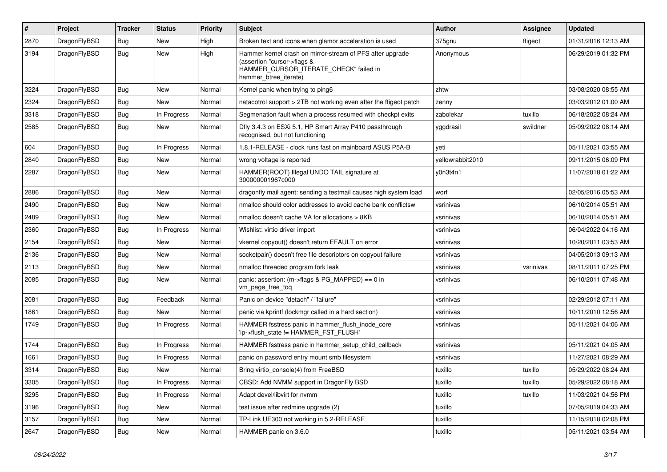| #    | Project      | <b>Tracker</b> | <b>Status</b> | <b>Priority</b> | <b>Subject</b>                                                                                                                                              | Author           | <b>Assignee</b> | <b>Updated</b>      |
|------|--------------|----------------|---------------|-----------------|-------------------------------------------------------------------------------------------------------------------------------------------------------------|------------------|-----------------|---------------------|
| 2870 | DragonFlyBSD | Bug            | <b>New</b>    | High            | Broken text and icons when glamor acceleration is used                                                                                                      | 375gnu           | ftigeot         | 01/31/2016 12:13 AM |
| 3194 | DragonFlyBSD | <b>Bug</b>     | <b>New</b>    | High            | Hammer kernel crash on mirror-stream of PFS after upgrade<br>(assertion "cursor->flags &<br>HAMMER_CURSOR_ITERATE_CHECK" failed in<br>hammer_btree_iterate) | Anonymous        |                 | 06/29/2019 01:32 PM |
| 3224 | DragonFlyBSD | Bug            | <b>New</b>    | Normal          | Kernel panic when trying to ping6                                                                                                                           | zhtw             |                 | 03/08/2020 08:55 AM |
| 2324 | DragonFlyBSD | Bug            | New           | Normal          | natacotrol support > 2TB not working even after the ftigeot patch                                                                                           | zenny            |                 | 03/03/2012 01:00 AM |
| 3318 | DragonFlyBSD | <b>Bug</b>     | In Progress   | Normal          | Segmenation fault when a process resumed with checkpt exits                                                                                                 | zabolekar        | tuxillo         | 06/18/2022 08:24 AM |
| 2585 | DragonFlyBSD | Bug            | New           | Normal          | Dfly 3.4.3 on ESXi 5.1, HP Smart Array P410 passthrough<br>recognised, but not functioning                                                                  | yggdrasil        | swildner        | 05/09/2022 08:14 AM |
| 604  | DragonFlyBSD | Bug            | In Progress   | Normal          | 1.8.1-RELEASE - clock runs fast on mainboard ASUS P5A-B                                                                                                     | yeti             |                 | 05/11/2021 03:55 AM |
| 2840 | DragonFlyBSD | Bug            | <b>New</b>    | Normal          | wrong voltage is reported                                                                                                                                   | yellowrabbit2010 |                 | 09/11/2015 06:09 PM |
| 2287 | DragonFlyBSD | Bug            | <b>New</b>    | Normal          | HAMMER(ROOT) Illegal UNDO TAIL signature at<br>300000001967c000                                                                                             | y0n3t4n1         |                 | 11/07/2018 01:22 AM |
| 2886 | DragonFlyBSD | Bug            | <b>New</b>    | Normal          | dragonfly mail agent: sending a testmail causes high system load                                                                                            | worf             |                 | 02/05/2016 05:53 AM |
| 2490 | DragonFlyBSD | Bug            | <b>New</b>    | Normal          | nmalloc should color addresses to avoid cache bank conflictsw                                                                                               | vsrinivas        |                 | 06/10/2014 05:51 AM |
| 2489 | DragonFlyBSD | <b>Bug</b>     | New           | Normal          | nmalloc doesn't cache VA for allocations > 8KB                                                                                                              | vsrinivas        |                 | 06/10/2014 05:51 AM |
| 2360 | DragonFlyBSD | Bug            | In Progress   | Normal          | Wishlist: virtio driver import                                                                                                                              | vsrinivas        |                 | 06/04/2022 04:16 AM |
| 2154 | DragonFlyBSD | Bug            | New           | Normal          | vkernel copyout() doesn't return EFAULT on error                                                                                                            | vsrinivas        |                 | 10/20/2011 03:53 AM |
| 2136 | DragonFlyBSD | Bug            | New           | Normal          | socketpair() doesn't free file descriptors on copyout failure                                                                                               | vsrinivas        |                 | 04/05/2013 09:13 AM |
| 2113 | DragonFlyBSD | Bug            | <b>New</b>    | Normal          | nmalloc threaded program fork leak                                                                                                                          | vsrinivas        | vsrinivas       | 08/11/2011 07:25 PM |
| 2085 | DragonFlyBSD | <b>Bug</b>     | New           | Normal          | panic: assertion: (m->flags & PG_MAPPED) == 0 in<br>vm_page_free_toq                                                                                        | vsrinivas        |                 | 06/10/2011 07:48 AM |
| 2081 | DragonFlyBSD | Bug            | Feedback      | Normal          | Panic on device "detach" / "failure"                                                                                                                        | vsrinivas        |                 | 02/29/2012 07:11 AM |
| 1861 | DragonFlyBSD | Bug            | <b>New</b>    | Normal          | panic via kprintf (lockmgr called in a hard section)                                                                                                        | vsrinivas        |                 | 10/11/2010 12:56 AM |
| 1749 | DragonFlyBSD | Bug            | In Progress   | Normal          | HAMMER fsstress panic in hammer_flush_inode_core<br>'ip->flush state != HAMMER FST FLUSH'                                                                   | vsrinivas        |                 | 05/11/2021 04:06 AM |
| 1744 | DragonFlyBSD | Bug            | In Progress   | Normal          | HAMMER fsstress panic in hammer_setup_child_callback                                                                                                        | vsrinivas        |                 | 05/11/2021 04:05 AM |
| 1661 | DragonFlyBSD | Bug            | In Progress   | Normal          | panic on password entry mount smb filesystem                                                                                                                | vsrinivas        |                 | 11/27/2021 08:29 AM |
| 3314 | DragonFlyBSD | <b>Bug</b>     | New           | Normal          | Bring virtio_console(4) from FreeBSD                                                                                                                        | tuxillo          | tuxillo         | 05/29/2022 08:24 AM |
| 3305 | DragonFlyBSD | Bug            | In Progress   | Normal          | CBSD: Add NVMM support in DragonFly BSD                                                                                                                     | tuxillo          | tuxillo         | 05/29/2022 08:18 AM |
| 3295 | DragonFlyBSD | <b>Bug</b>     | In Progress   | Normal          | Adapt devel/libvirt for nvmm                                                                                                                                | tuxillo          | tuxillo         | 11/03/2021 04:56 PM |
| 3196 | DragonFlyBSD | <b>Bug</b>     | New           | Normal          | test issue after redmine upgrade (2)                                                                                                                        | tuxillo          |                 | 07/05/2019 04:33 AM |
| 3157 | DragonFlyBSD | <b>Bug</b>     | New           | Normal          | TP-Link UE300 not working in 5.2-RELEASE                                                                                                                    | tuxillo          |                 | 11/15/2018 02:08 PM |
| 2647 | DragonFlyBSD | <b>Bug</b>     | New           | Normal          | HAMMER panic on 3.6.0                                                                                                                                       | tuxillo          |                 | 05/11/2021 03:54 AM |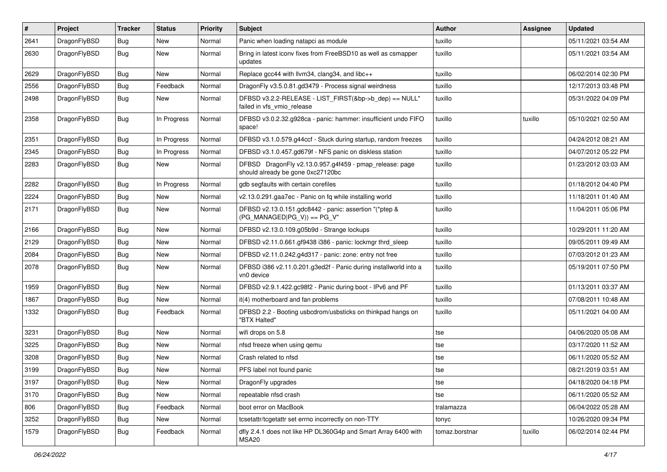| $\pmb{\#}$ | Project      | <b>Tracker</b> | <b>Status</b> | <b>Priority</b> | Subject                                                                                      | <b>Author</b>  | Assignee | <b>Updated</b>      |
|------------|--------------|----------------|---------------|-----------------|----------------------------------------------------------------------------------------------|----------------|----------|---------------------|
| 2641       | DragonFlyBSD | Bug            | <b>New</b>    | Normal          | Panic when loading natapci as module                                                         | tuxillo        |          | 05/11/2021 03:54 AM |
| 2630       | DragonFlyBSD | Bug            | New           | Normal          | Bring in latest iconv fixes from FreeBSD10 as well as csmapper<br>updates                    | tuxillo        |          | 05/11/2021 03:54 AM |
| 2629       | DragonFlyBSD | Bug            | New           | Normal          | Replace gcc44 with llvm34, clang34, and libc++                                               | tuxillo        |          | 06/02/2014 02:30 PM |
| 2556       | DragonFlyBSD | Bug            | Feedback      | Normal          | DragonFly v3.5.0.81.gd3479 - Process signal weirdness                                        | tuxillo        |          | 12/17/2013 03:48 PM |
| 2498       | DragonFlyBSD | Bug            | New           | Normal          | DFBSD v3.2.2-RELEASE - LIST_FIRST(&bp->b_dep) == NULL"<br>failed in vfs_vmio_release         | tuxillo        |          | 05/31/2022 04:09 PM |
| 2358       | DragonFlyBSD | Bug            | In Progress   | Normal          | DFBSD v3.0.2.32.g928ca - panic: hammer: insufficient undo FIFO<br>space!                     | tuxillo        | tuxillo  | 05/10/2021 02:50 AM |
| 2351       | DragonFlyBSD | Bug            | In Progress   | Normal          | DFBSD v3.1.0.579.g44ccf - Stuck during startup, random freezes                               | tuxillo        |          | 04/24/2012 08:21 AM |
| 2345       | DragonFlyBSD | Bug            | In Progress   | Normal          | DFBSD v3.1.0.457.gd679f - NFS panic on diskless station                                      | tuxillo        |          | 04/07/2012 05:22 PM |
| 2283       | DragonFlyBSD | Bug            | New           | Normal          | DFBSD DragonFly v2.13.0.957.g4f459 - pmap_release: page<br>should already be gone 0xc27120bc | tuxillo        |          | 01/23/2012 03:03 AM |
| 2282       | DragonFlyBSD | Bug            | In Progress   | Normal          | gdb segfaults with certain corefiles                                                         | tuxillo        |          | 01/18/2012 04:40 PM |
| 2224       | DragonFlyBSD | Bug            | <b>New</b>    | Normal          | v2.13.0.291.gaa7ec - Panic on fq while installing world                                      | tuxillo        |          | 11/18/2011 01:40 AM |
| 2171       | DragonFlyBSD | Bug            | New           | Normal          | DFBSD v2.13.0.151.gdc8442 - panic: assertion "(*ptep &<br>$(PG_MANAGED PG_V)) == PG_V"$      | tuxillo        |          | 11/04/2011 05:06 PM |
| 2166       | DragonFlyBSD | Bug            | <b>New</b>    | Normal          | DFBSD v2.13.0.109.g05b9d - Strange lockups                                                   | tuxillo        |          | 10/29/2011 11:20 AM |
| 2129       | DragonFlyBSD | Bug            | <b>New</b>    | Normal          | DFBSD v2.11.0.661.gf9438 i386 - panic: lockmgr thrd_sleep                                    | tuxillo        |          | 09/05/2011 09:49 AM |
| 2084       | DragonFlyBSD | Bug            | <b>New</b>    | Normal          | DFBSD v2.11.0.242.g4d317 - panic: zone: entry not free                                       | tuxillo        |          | 07/03/2012 01:23 AM |
| 2078       | DragonFlyBSD | Bug            | New           | Normal          | DFBSD i386 v2.11.0.201.g3ed2f - Panic during installworld into a<br>vn0 device               | tuxillo        |          | 05/19/2011 07:50 PM |
| 1959       | DragonFlyBSD | Bug            | <b>New</b>    | Normal          | DFBSD v2.9.1.422.gc98f2 - Panic during boot - IPv6 and PF                                    | tuxillo        |          | 01/13/2011 03:37 AM |
| 1867       | DragonFlyBSD | Bug            | New           | Normal          | it(4) motherboard and fan problems                                                           | tuxillo        |          | 07/08/2011 10:48 AM |
| 1332       | DragonFlyBSD | Bug            | Feedback      | Normal          | DFBSD 2.2 - Booting usbcdrom/usbsticks on thinkpad hangs on<br>"BTX Halted"                  | tuxillo        |          | 05/11/2021 04:00 AM |
| 3231       | DragonFlyBSD | Bug            | <b>New</b>    | Normal          | wifi drops on 5.8                                                                            | tse            |          | 04/06/2020 05:08 AM |
| 3225       | DragonFlyBSD | Bug            | New           | Normal          | nfsd freeze when using gemu                                                                  | tse            |          | 03/17/2020 11:52 AM |
| 3208       | DragonFlyBSD | Bug            | <b>New</b>    | Normal          | Crash related to nfsd                                                                        | tse            |          | 06/11/2020 05:52 AM |
| 3199       | DragonFlyBSD | Bug            | New           | Normal          | PFS label not found panic                                                                    | tse            |          | 08/21/2019 03:51 AM |
| 3197       | DragonFlyBSD | <b>Bug</b>     | New           | Normal          | DragonFly upgrades                                                                           | tse            |          | 04/18/2020 04:18 PM |
| 3170       | DragonFlyBSD | <b>Bug</b>     | New           | Normal          | repeatable nfsd crash                                                                        | tse            |          | 06/11/2020 05:52 AM |
| 806        | DragonFlyBSD | <b>Bug</b>     | Feedback      | Normal          | boot error on MacBook                                                                        | tralamazza     |          | 06/04/2022 05:28 AM |
| 3252       | DragonFlyBSD | Bug            | New           | Normal          | tcsetattr/tcgetattr set errno incorrectly on non-TTY                                         | tonyc          |          | 10/26/2020 09:34 PM |
| 1579       | DragonFlyBSD | <b>Bug</b>     | Feedback      | Normal          | dfly 2.4.1 does not like HP DL360G4p and Smart Array 6400 with<br>MSA20                      | tomaz.borstnar | tuxillo  | 06/02/2014 02:44 PM |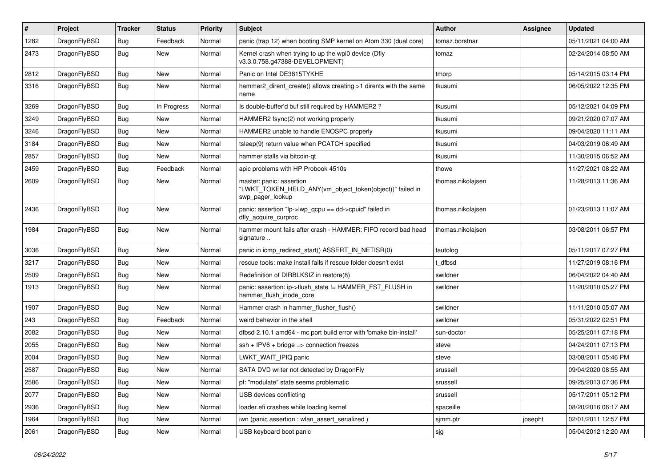| $\sharp$ | Project      | <b>Tracker</b> | <b>Status</b> | <b>Priority</b> | <b>Subject</b>                                                                                           | Author            | Assignee | <b>Updated</b>      |
|----------|--------------|----------------|---------------|-----------------|----------------------------------------------------------------------------------------------------------|-------------------|----------|---------------------|
| 1282     | DragonFlyBSD | Bug            | Feedback      | Normal          | panic (trap 12) when booting SMP kernel on Atom 330 (dual core)                                          | tomaz.borstnar    |          | 05/11/2021 04:00 AM |
| 2473     | DragonFlyBSD | <b>Bug</b>     | New           | Normal          | Kernel crash when trying to up the wpi0 device (Dfly<br>v3.3.0.758.g47388-DEVELOPMENT)                   | tomaz             |          | 02/24/2014 08:50 AM |
| 2812     | DragonFlyBSD | <b>Bug</b>     | <b>New</b>    | Normal          | Panic on Intel DE3815TYKHE                                                                               | tmorp             |          | 05/14/2015 03:14 PM |
| 3316     | DragonFlyBSD | Bug            | <b>New</b>    | Normal          | hammer2_dirent_create() allows creating >1 dirents with the same<br>name                                 | tkusumi           |          | 06/05/2022 12:35 PM |
| 3269     | DragonFlyBSD | Bug            | In Progress   | Normal          | Is double-buffer'd buf still required by HAMMER2 ?                                                       | tkusumi           |          | 05/12/2021 04:09 PM |
| 3249     | DragonFlyBSD | Bug            | <b>New</b>    | Normal          | HAMMER2 fsync(2) not working properly                                                                    | tkusumi           |          | 09/21/2020 07:07 AM |
| 3246     | DragonFlyBSD | Bug            | <b>New</b>    | Normal          | HAMMER2 unable to handle ENOSPC properly                                                                 | tkusumi           |          | 09/04/2020 11:11 AM |
| 3184     | DragonFlyBSD | Bug            | <b>New</b>    | Normal          | tsleep(9) return value when PCATCH specified                                                             | tkusumi           |          | 04/03/2019 06:49 AM |
| 2857     | DragonFlyBSD | Bug            | <b>New</b>    | Normal          | hammer stalls via bitcoin-qt                                                                             | tkusumi           |          | 11/30/2015 06:52 AM |
| 2459     | DragonFlyBSD | Bug            | Feedback      | Normal          | apic problems with HP Probook 4510s                                                                      | thowe             |          | 11/27/2021 08:22 AM |
| 2609     | DragonFlyBSD | Bug            | New           | Normal          | master: panic: assertion<br>"LWKT_TOKEN_HELD_ANY(vm_object_token(object))" failed in<br>swp pager lookup | thomas.nikolajsen |          | 11/28/2013 11:36 AM |
| 2436     | DragonFlyBSD | <b>Bug</b>     | New           | Normal          | panic: assertion "lp->lwp_qcpu == dd->cpuid" failed in<br>dfly_acquire_curproc                           | thomas.nikolajsen |          | 01/23/2013 11:07 AM |
| 1984     | DragonFlyBSD | <b>Bug</b>     | <b>New</b>    | Normal          | hammer mount fails after crash - HAMMER: FIFO record bad head<br>signature                               | thomas.nikolajsen |          | 03/08/2011 06:57 PM |
| 3036     | DragonFlyBSD | Bug            | <b>New</b>    | Normal          | panic in icmp redirect start() ASSERT IN NETISR(0)                                                       | tautolog          |          | 05/11/2017 07:27 PM |
| 3217     | DragonFlyBSD | Bug            | <b>New</b>    | Normal          | rescue tools: make install fails if rescue folder doesn't exist                                          | t_dfbsd           |          | 11/27/2019 08:16 PM |
| 2509     | DragonFlyBSD | Bug            | <b>New</b>    | Normal          | Redefinition of DIRBLKSIZ in restore(8)                                                                  | swildner          |          | 06/04/2022 04:40 AM |
| 1913     | DragonFlyBSD | Bug            | New           | Normal          | panic: assertion: ip->flush_state != HAMMER_FST_FLUSH in<br>hammer_flush_inode_core                      | swildner          |          | 11/20/2010 05:27 PM |
| 1907     | DragonFlyBSD | Bug            | <b>New</b>    | Normal          | Hammer crash in hammer flusher flush()                                                                   | swildner          |          | 11/11/2010 05:07 AM |
| 243      | DragonFlyBSD | Bug            | Feedback      | Normal          | weird behavior in the shell                                                                              | swildner          |          | 05/31/2022 02:51 PM |
| 2082     | DragonFlyBSD | Bug            | <b>New</b>    | Normal          | dfbsd 2.10.1 amd64 - mc port build error with 'bmake bin-install'                                        | sun-doctor        |          | 05/25/2011 07:18 PM |
| 2055     | DragonFlyBSD | <b>Bug</b>     | <b>New</b>    | Normal          | ssh + IPV6 + bridge => connection freezes                                                                | steve             |          | 04/24/2011 07:13 PM |
| 2004     | DragonFlyBSD | Bug            | <b>New</b>    | Normal          | LWKT_WAIT_IPIQ panic                                                                                     | steve             |          | 03/08/2011 05:46 PM |
| 2587     | DragonFlyBSD | <b>Bug</b>     | New           | Normal          | SATA DVD writer not detected by DragonFly                                                                | srussell          |          | 09/04/2020 08:55 AM |
| 2586     | DragonFlyBSD | Bug            | New           | Normal          | pf: "modulate" state seems problematic                                                                   | srussell          |          | 09/25/2013 07:36 PM |
| 2077     | DragonFlyBSD | <b>Bug</b>     | New           | Normal          | USB devices conflicting                                                                                  | srussell          |          | 05/17/2011 05:12 PM |
| 2936     | DragonFlyBSD | <b>Bug</b>     | New           | Normal          | loader.efi crashes while loading kernel                                                                  | spaceille         |          | 08/20/2016 06:17 AM |
| 1964     | DragonFlyBSD | <b>Bug</b>     | New           | Normal          | iwn (panic assertion : wlan_assert_serialized)                                                           | sjmm.ptr          | josepht  | 02/01/2011 12:57 PM |
| 2061     | DragonFlyBSD | Bug            | New           | Normal          | USB keyboard boot panic                                                                                  | sjg               |          | 05/04/2012 12:20 AM |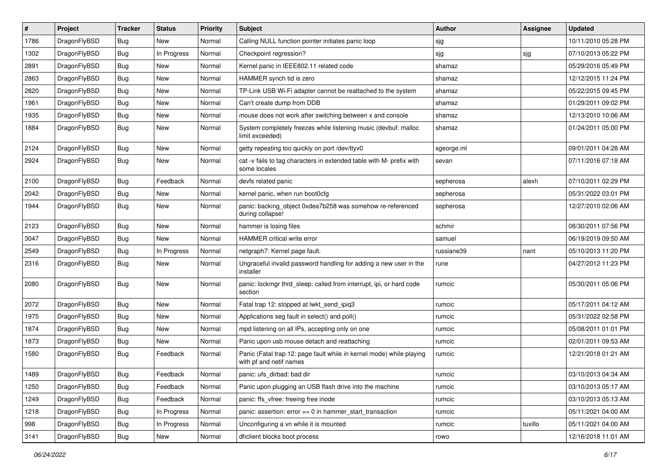| $\pmb{\#}$ | Project      | <b>Tracker</b> | <b>Status</b> | <b>Priority</b> | Subject                                                                                         | <b>Author</b> | Assignee | <b>Updated</b>      |
|------------|--------------|----------------|---------------|-----------------|-------------------------------------------------------------------------------------------------|---------------|----------|---------------------|
| 1786       | DragonFlyBSD | Bug            | New           | Normal          | Calling NULL function pointer initiates panic loop                                              | sjg           |          | 10/11/2010 05:28 PM |
| 1302       | DragonFlyBSD | Bug            | In Progress   | Normal          | Checkpoint regression?                                                                          | sjg           | sjg      | 07/10/2013 05:22 PM |
| 2891       | DragonFlyBSD | Bug            | New           | Normal          | Kernel panic in IEEE802.11 related code                                                         | shamaz        |          | 05/29/2016 05:49 PM |
| 2863       | DragonFlyBSD | Bug            | <b>New</b>    | Normal          | HAMMER synch tid is zero                                                                        | shamaz        |          | 12/12/2015 11:24 PM |
| 2820       | DragonFlyBSD | Bug            | <b>New</b>    | Normal          | TP-Link USB Wi-Fi adapter cannot be reattached to the system                                    | shamaz        |          | 05/22/2015 09:45 PM |
| 1961       | DragonFlyBSD | Bug            | New           | Normal          | Can't create dump from DDB                                                                      | shamaz        |          | 01/29/2011 09:02 PM |
| 1935       | DragonFlyBSD | Bug            | New           | Normal          | mouse does not work after switching between x and console                                       | shamaz        |          | 12/13/2010 10:06 AM |
| 1884       | DragonFlyBSD | Bug            | New           | Normal          | System completely freezes while listening music (devbuf: malloc<br>limit exceeded)              | shamaz        |          | 01/24/2011 05:00 PM |
| 2124       | DragonFlyBSD | Bug            | <b>New</b>    | Normal          | getty repeating too quickly on port /dev/ttyv0                                                  | sgeorge.ml    |          | 09/01/2011 04:28 AM |
| 2924       | DragonFlyBSD | Bug            | New           | Normal          | cat -v fails to tag characters in extended table with M- prefix with<br>some locales            | sevan         |          | 07/11/2016 07:18 AM |
| 2100       | DragonFlyBSD | Bug            | Feedback      | Normal          | devfs related panic                                                                             | sepherosa     | alexh    | 07/10/2011 02:29 PM |
| 2042       | DragonFlyBSD | Bug            | <b>New</b>    | Normal          | kernel panic, when run boot0cfg                                                                 | sepherosa     |          | 05/31/2022 03:01 PM |
| 1944       | DragonFlyBSD | Bug            | New           | Normal          | panic: backing_object 0xdea7b258 was somehow re-referenced<br>during collapse!                  | sepherosa     |          | 12/27/2010 02:06 AM |
| 2123       | DragonFlyBSD | Bug            | <b>New</b>    | Normal          | hammer is losing files                                                                          | schmir        |          | 08/30/2011 07:56 PM |
| 3047       | DragonFlyBSD | Bug            | <b>New</b>    | Normal          | HAMMER critical write error                                                                     | samuel        |          | 06/19/2019 09:50 AM |
| 2549       | DragonFlyBSD | Bug            | In Progress   | Normal          | netgraph7: Kernel page fault.                                                                   | russiane39    | nant     | 05/10/2013 11:20 PM |
| 2316       | DragonFlyBSD | Bug            | New           | Normal          | Ungraceful invalid password handling for adding a new user in the<br>installer                  | rune          |          | 04/27/2012 11:23 PM |
| 2080       | DragonFlyBSD | Bug            | <b>New</b>    | Normal          | panic: lockmgr thrd_sleep: called from interrupt, ipi, or hard code<br>section                  | rumcic        |          | 05/30/2011 05:06 PM |
| 2072       | DragonFlyBSD | Bug            | <b>New</b>    | Normal          | Fatal trap 12: stopped at lwkt_send_ipiq3                                                       | rumcic        |          | 05/17/2011 04:12 AM |
| 1975       | DragonFlyBSD | Bug            | <b>New</b>    | Normal          | Applications seg fault in select() and poll()                                                   | rumcic        |          | 05/31/2022 02:58 PM |
| 1874       | DragonFlyBSD | Bug            | <b>New</b>    | Normal          | mpd listening on all IPs, accepting only on one                                                 | rumcic        |          | 05/08/2011 01:01 PM |
| 1873       | DragonFlyBSD | Bug            | New           | Normal          | Panic upon usb mouse detach and reattaching                                                     | rumcic        |          | 02/01/2011 09:53 AM |
| 1580       | DragonFlyBSD | Bug            | Feedback      | Normal          | Panic (Fatal trap 12: page fault while in kernel mode) while playing<br>with pf and netif names | rumcic        |          | 12/21/2018 01:21 AM |
| 1489       | DragonFlyBSD | Bug            | Feedback      | Normal          | panic: ufs dirbad: bad dir                                                                      | rumcic        |          | 03/10/2013 04:34 AM |
| 1250       | DragonFlyBSD | Bug            | Feedback      | Normal          | Panic upon plugging an USB flash drive into the machine                                         | rumcic        |          | 03/10/2013 05:17 AM |
| 1249       | DragonFlyBSD | Bug            | Feedback      | Normal          | panic: ffs_vfree: freeing free inode                                                            | rumcic        |          | 03/10/2013 05:13 AM |
| 1218       | DragonFlyBSD | <b>Bug</b>     | In Progress   | Normal          | panic: assertion: error == 0 in hammer_start_transaction                                        | rumcic        |          | 05/11/2021 04:00 AM |
| 998        | DragonFlyBSD | Bug            | In Progress   | Normal          | Unconfiguring a vn while it is mounted                                                          | rumcic        | tuxillo  | 05/11/2021 04:00 AM |
| 3141       | DragonFlyBSD | Bug            | New           | Normal          | dhclient blocks boot process                                                                    | rowo          |          | 12/16/2018 11:01 AM |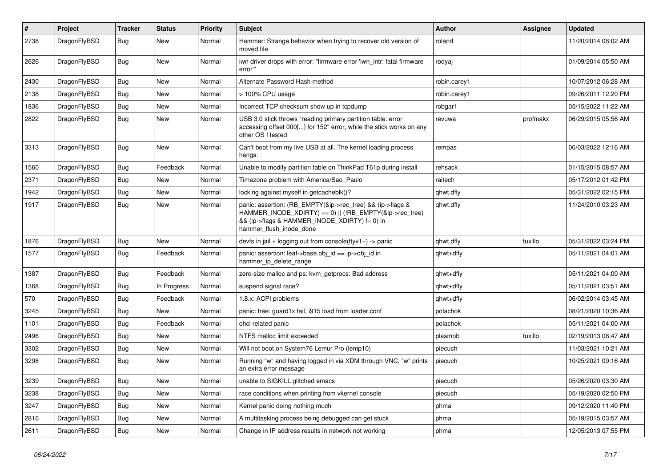| $\vert$ # | Project      | <b>Tracker</b> | <b>Status</b> | <b>Priority</b> | <b>Subject</b>                                                                                                                                                                                    | <b>Author</b> | <b>Assignee</b> | <b>Updated</b>      |
|-----------|--------------|----------------|---------------|-----------------|---------------------------------------------------------------------------------------------------------------------------------------------------------------------------------------------------|---------------|-----------------|---------------------|
| 2738      | DragonFlyBSD | Bug            | <b>New</b>    | Normal          | Hammer: Strange behavior when trying to recover old version of<br>moved file                                                                                                                      | roland        |                 | 11/20/2014 08:02 AM |
| 2626      | DragonFlyBSD | Bug            | <b>New</b>    | Normal          | iwn driver drops with error: "firmware error 'iwn intr: fatal firmware<br>error"                                                                                                                  | rodyaj        |                 | 01/09/2014 05:50 AM |
| 2430      | DragonFlyBSD | <b>Bug</b>     | <b>New</b>    | Normal          | Alternate Password Hash method                                                                                                                                                                    | robin.carey1  |                 | 10/07/2012 06:28 AM |
| 2138      | DragonFlyBSD | Bug            | <b>New</b>    | Normal          | > 100% CPU usage                                                                                                                                                                                  | robin.carey1  |                 | 09/26/2011 12:20 PM |
| 1836      | DragonFlyBSD | Bug            | <b>New</b>    | Normal          | Incorrect TCP checksum show up in tcpdump                                                                                                                                                         | robgar1       |                 | 05/15/2022 11:22 AM |
| 2822      | DragonFlyBSD | Bug            | <b>New</b>    | Normal          | USB 3.0 stick throws "reading primary partition table: error<br>accessing offset 000[] for 152" error, while the stick works on any<br>other OS I tested                                          | revuwa        | profmakx        | 06/29/2015 05:56 AM |
| 3313      | DragonFlyBSD | Bug            | <b>New</b>    | Normal          | Can't boot from my live USB at all. The kernel loading process<br>hangs.                                                                                                                          | rempas        |                 | 06/03/2022 12:16 AM |
| 1560      | DragonFlyBSD | Bug            | Feedback      | Normal          | Unable to modify partition table on ThinkPad T61p during install                                                                                                                                  | rehsack       |                 | 01/15/2015 08:57 AM |
| 2371      | DragonFlyBSD | Bug            | New           | Normal          | Timezone problem with America/Sao Paulo                                                                                                                                                           | raitech       |                 | 05/17/2012 01:42 PM |
| 1942      | DragonFlyBSD | Bug            | New           | Normal          | locking against myself in getcacheblk()?                                                                                                                                                          | qhwt.dfly     |                 | 05/31/2022 02:15 PM |
| 1917      | DragonFlyBSD | Bug            | <b>New</b>    | Normal          | panic: assertion: (RB_EMPTY(&ip->rec_tree) && (ip->flags &<br>HAMMER_INODE_XDIRTY) == 0)    (!RB_EMPTY(&ip->rec_tree)<br>&& (ip->flags & HAMMER_INODE_XDIRTY) != 0) in<br>hammer_flush_inode_done | qhwt.dfly     |                 | 11/24/2010 03:23 AM |
| 1876      | DragonFlyBSD | <b>Bug</b>     | <b>New</b>    | Normal          | devfs in jail + logging out from console(ttyv1+) -> panic                                                                                                                                         | qhwt.dfly     | tuxillo         | 05/31/2022 03:24 PM |
| 1577      | DragonFlyBSD | <b>Bug</b>     | Feedback      | Normal          | panic: assertion: leaf->base.obj_id == ip->obj_id in<br>hammer ip delete range                                                                                                                    | qhwt+dfly     |                 | 05/11/2021 04:01 AM |
| 1387      | DragonFlyBSD | Bug            | Feedback      | Normal          | zero-size malloc and ps: kvm_getprocs: Bad address                                                                                                                                                | qhwt+dfly     |                 | 05/11/2021 04:00 AM |
| 1368      | DragonFlyBSD | Bug            | In Progress   | Normal          | suspend signal race?                                                                                                                                                                              | qhwt+dfly     |                 | 05/11/2021 03:51 AM |
| 570       | DragonFlyBSD | Bug            | Feedback      | Normal          | 1.8.x: ACPI problems                                                                                                                                                                              | qhwt+dfly     |                 | 06/02/2014 03:45 AM |
| 3245      | DragonFlyBSD | Bug            | <b>New</b>    | Normal          | panic: free: guard1x fail, i915 load from loader.conf                                                                                                                                             | polachok      |                 | 08/21/2020 10:36 AM |
| 1101      | DragonFlyBSD | <b>Bug</b>     | Feedback      | Normal          | ohci related panic                                                                                                                                                                                | polachok      |                 | 05/11/2021 04:00 AM |
| 2496      | DragonFlyBSD | Bug            | <b>New</b>    | Normal          | NTFS malloc limit exceeded                                                                                                                                                                        | plasmob       | tuxillo         | 02/19/2013 08:47 AM |
| 3302      | DragonFlyBSD | <b>Bug</b>     | <b>New</b>    | Normal          | Will not boot on System76 Lemur Pro (lemp10)                                                                                                                                                      | piecuch       |                 | 11/03/2021 10:21 AM |
| 3298      | DragonFlyBSD | Bug            | <b>New</b>    | Normal          | Running "w" and having logged in via XDM through VNC, "w" prints<br>an extra error message                                                                                                        | piecuch       |                 | 10/25/2021 09:16 AM |
| 3239      | DragonFlyBSD | <b>Bug</b>     | <b>New</b>    | Normal          | unable to SIGKILL glitched emacs                                                                                                                                                                  | piecuch       |                 | 05/26/2020 03:30 AM |
| 3238      | DragonFlyBSD | Bug            | <b>New</b>    | Normal          | race conditions when printing from vkernel console                                                                                                                                                | piecuch       |                 | 05/19/2020 02:50 PM |
| 3247      | DragonFlyBSD | Bug            | <b>New</b>    | Normal          | Kernel panic doing nothing much                                                                                                                                                                   | phma          |                 | 09/12/2020 11:40 PM |
| 2816      | DragonFlyBSD | Bug            | <b>New</b>    | Normal          | A multitasking process being debugged can get stuck                                                                                                                                               | phma          |                 | 05/19/2015 03:57 AM |
| 2611      | DragonFlyBSD | Bug            | <b>New</b>    | Normal          | Change in IP address results in network not working                                                                                                                                               | phma          |                 | 12/05/2013 07:55 PM |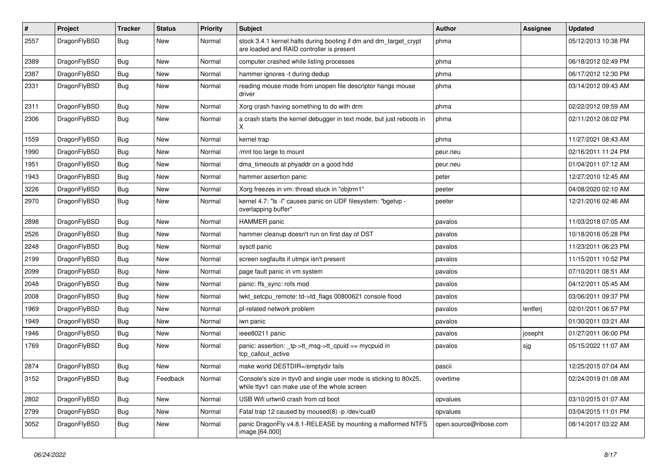| $\pmb{\#}$ | Project      | <b>Tracker</b> | <b>Status</b> | <b>Priority</b> | Subject                                                                                                            | <b>Author</b>          | <b>Assignee</b> | <b>Updated</b>      |
|------------|--------------|----------------|---------------|-----------------|--------------------------------------------------------------------------------------------------------------------|------------------------|-----------------|---------------------|
| 2557       | DragonFlyBSD | Bug            | New           | Normal          | stock 3.4.1 kernel halts during booting if dm and dm_target_crypt<br>are loaded and RAID controller is present     | phma                   |                 | 05/12/2013 10:38 PM |
| 2389       | DragonFlyBSD | Bug            | New           | Normal          | computer crashed while listing processes                                                                           | phma                   |                 | 06/18/2012 02:49 PM |
| 2387       | DragonFlyBSD | Bug            | <b>New</b>    | Normal          | hammer ignores -t during dedup                                                                                     | phma                   |                 | 06/17/2012 12:30 PM |
| 2331       | DragonFlyBSD | Bug            | New           | Normal          | reading mouse mode from unopen file descriptor hangs mouse<br>driver                                               | phma                   |                 | 03/14/2012 09:43 AM |
| 2311       | DragonFlyBSD | Bug            | <b>New</b>    | Normal          | Xorg crash having something to do with drm                                                                         | phma                   |                 | 02/22/2012 09:59 AM |
| 2306       | DragonFlyBSD | Bug            | New           | Normal          | a crash starts the kernel debugger in text mode, but just reboots in<br>Χ                                          | phma                   |                 | 02/11/2012 08:02 PM |
| 1559       | DragonFlyBSD | Bug            | <b>New</b>    | Normal          | kernel trap                                                                                                        | phma                   |                 | 11/27/2021 08:43 AM |
| 1990       | DragonFlyBSD | Bug            | New           | Normal          | /mnt too large to mount                                                                                            | peur.neu               |                 | 02/16/2011 11:24 PM |
| 1951       | DragonFlyBSD | Bug            | <b>New</b>    | Normal          | dma_timeouts at phyaddr on a good hdd                                                                              | peur.neu               |                 | 01/04/2011 07:12 AM |
| 1943       | DragonFlyBSD | Bug            | <b>New</b>    | Normal          | hammer assertion panic                                                                                             | peter                  |                 | 12/27/2010 12:45 AM |
| 3226       | DragonFlyBSD | Bug            | <b>New</b>    | Normal          | Xorg freezes in vm: thread stuck in "objtrm1"                                                                      | peeter                 |                 | 04/08/2020 02:10 AM |
| 2970       | DragonFlyBSD | Bug            | New           | Normal          | kernel 4.7: "Is -I" causes panic on UDF filesystem: "bgetvp -<br>overlapping buffer"                               | peeter                 |                 | 12/21/2016 02:46 AM |
| 2898       | DragonFlyBSD | Bug            | <b>New</b>    | Normal          | <b>HAMMER</b> panic                                                                                                | pavalos                |                 | 11/03/2018 07:05 AM |
| 2526       | DragonFlyBSD | Bug            | <b>New</b>    | Normal          | hammer cleanup doesn't run on first day of DST                                                                     | pavalos                |                 | 10/18/2016 05:28 PM |
| 2248       | DragonFlyBSD | Bug            | New           | Normal          | sysctl panic                                                                                                       | pavalos                |                 | 11/23/2011 06:23 PM |
| 2199       | DragonFlyBSD | Bug            | New           | Normal          | screen segfaults if utmpx isn't present                                                                            | pavalos                |                 | 11/15/2011 10:52 PM |
| 2099       | DragonFlyBSD | <b>Bug</b>     | <b>New</b>    | Normal          | page fault panic in vm system                                                                                      | pavalos                |                 | 07/10/2011 08:51 AM |
| 2048       | DragonFlyBSD | Bug            | <b>New</b>    | Normal          | panic: ffs_sync: rofs mod                                                                                          | pavalos                |                 | 04/12/2011 05:45 AM |
| 2008       | DragonFlyBSD | Bug            | New           | Normal          | lwkt_setcpu_remote: td->td_flags 00800621 console flood                                                            | pavalos                |                 | 03/06/2011 09:37 PM |
| 1969       | DragonFlyBSD | Bug            | <b>New</b>    | Normal          | pf-related network problem                                                                                         | pavalos                | lentferj        | 02/01/2011 06:57 PM |
| 1949       | DragonFlyBSD | Bug            | New           | Normal          | iwn panic                                                                                                          | pavalos                |                 | 01/30/2011 03:21 AM |
| 1946       | DragonFlyBSD | Bug            | <b>New</b>    | Normal          | ieee80211 panic                                                                                                    | pavalos                | josepht         | 01/27/2011 06:00 PM |
| 1769       | DragonFlyBSD | Bug            | <b>New</b>    | Normal          | panic: assertion: tp->tt_msg->tt_cpuid == mycpuid in<br>tcp_callout_active                                         | pavalos                | sjg             | 05/15/2022 11:07 AM |
| 2874       | DragonFlyBSD | <b>Bug</b>     | New           | Normal          | make world DESTDIR=/emptydir fails                                                                                 | pascii                 |                 | 12/25/2015 07:04 AM |
| 3152       | DragonFlyBSD | <b>Bug</b>     | Feedback      | Normal          | Console's size in ttyv0 and single user mode is sticking to 80x25,<br>while ttyv1 can make use of the whole screen | overtime               |                 | 02/24/2019 01:08 AM |
| 2802       | DragonFlyBSD | Bug            | New           | Normal          | USB Wifi urtwn0 crash from cd boot                                                                                 | opvalues               |                 | 03/10/2015 01:07 AM |
| 2799       | DragonFlyBSD | <b>Bug</b>     | New           | Normal          | Fatal trap 12 caused by moused(8) -p /dev/cual0                                                                    | opvalues               |                 | 03/04/2015 11:01 PM |
| 3052       | DragonFlyBSD | Bug            | New           | Normal          | panic DragonFly v4.8.1-RELEASE by mounting a malformed NTFS<br>image [64.000]                                      | open.source@ribose.com |                 | 08/14/2017 03:22 AM |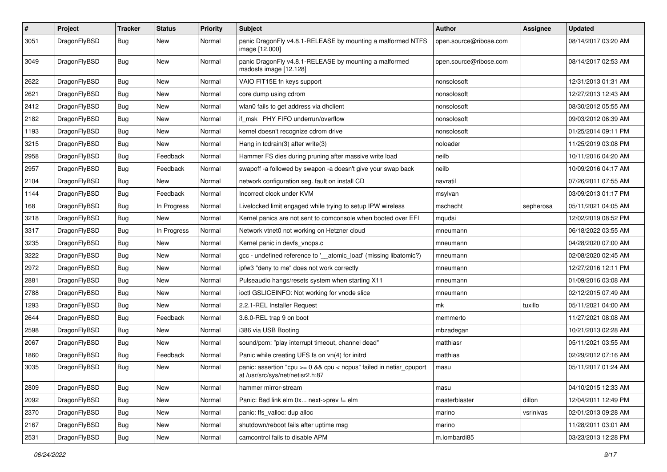| $\sharp$ | Project      | <b>Tracker</b> | <b>Status</b> | <b>Priority</b> | Subject                                                                                                 | <b>Author</b>          | Assignee  | <b>Updated</b>      |
|----------|--------------|----------------|---------------|-----------------|---------------------------------------------------------------------------------------------------------|------------------------|-----------|---------------------|
| 3051     | DragonFlyBSD | Bug            | New           | Normal          | panic DragonFly v4.8.1-RELEASE by mounting a malformed NTFS<br>image [12.000]                           | open.source@ribose.com |           | 08/14/2017 03:20 AM |
| 3049     | DragonFlyBSD | Bug            | <b>New</b>    | Normal          | panic DragonFly v4.8.1-RELEASE by mounting a malformed<br>msdosfs image [12.128]                        | open.source@ribose.com |           | 08/14/2017 02:53 AM |
| 2622     | DragonFlyBSD | Bug            | <b>New</b>    | Normal          | VAIO FIT15E fn keys support                                                                             | nonsolosoft            |           | 12/31/2013 01:31 AM |
| 2621     | DragonFlyBSD | Bug            | <b>New</b>    | Normal          | core dump using cdrom                                                                                   | nonsolosoft            |           | 12/27/2013 12:43 AM |
| 2412     | DragonFlyBSD | Bug            | New           | Normal          | wlan0 fails to get address via dhclient                                                                 | nonsolosoft            |           | 08/30/2012 05:55 AM |
| 2182     | DragonFlyBSD | Bug            | New           | Normal          | if msk PHY FIFO underrun/overflow                                                                       | nonsolosoft            |           | 09/03/2012 06:39 AM |
| 1193     | DragonFlyBSD | <b>Bug</b>     | <b>New</b>    | Normal          | kernel doesn't recognize cdrom drive                                                                    | nonsolosoft            |           | 01/25/2014 09:11 PM |
| 3215     | DragonFlyBSD | Bug            | <b>New</b>    | Normal          | Hang in tcdrain(3) after write(3)                                                                       | noloader               |           | 11/25/2019 03:08 PM |
| 2958     | DragonFlyBSD | Bug            | Feedback      | Normal          | Hammer FS dies during pruning after massive write load                                                  | neilb                  |           | 10/11/2016 04:20 AM |
| 2957     | DragonFlyBSD | Bug            | Feedback      | Normal          | swapoff -a followed by swapon -a doesn't give your swap back                                            | neilb                  |           | 10/09/2016 04:17 AM |
| 2104     | DragonFlyBSD | Bug            | New           | Normal          | network configuration seg. fault on install CD                                                          | navratil               |           | 07/26/2011 07:55 AM |
| 1144     | DragonFlyBSD | Bug            | Feedback      | Normal          | Incorrect clock under KVM                                                                               | msylvan                |           | 03/09/2013 01:17 PM |
| 168      | DragonFlyBSD | <b>Bug</b>     | In Progress   | Normal          | Livelocked limit engaged while trying to setup IPW wireless                                             | mschacht               | sepherosa | 05/11/2021 04:05 AM |
| 3218     | DragonFlyBSD | Bug            | New           | Normal          | Kernel panics are not sent to comconsole when booted over EFI                                           | mqudsi                 |           | 12/02/2019 08:52 PM |
| 3317     | DragonFlyBSD | Bug            | In Progress   | Normal          | Network vtnet0 not working on Hetzner cloud                                                             | mneumann               |           | 06/18/2022 03:55 AM |
| 3235     | DragonFlyBSD | Bug            | <b>New</b>    | Normal          | Kernel panic in devfs_vnops.c                                                                           | mneumann               |           | 04/28/2020 07:00 AM |
| 3222     | DragonFlyBSD | Bug            | New           | Normal          | gcc - undefined reference to '__atomic_load' (missing libatomic?)                                       | mneumann               |           | 02/08/2020 02:45 AM |
| 2972     | DragonFlyBSD | Bug            | <b>New</b>    | Normal          | ipfw3 "deny to me" does not work correctly                                                              | mneumann               |           | 12/27/2016 12:11 PM |
| 2881     | DragonFlyBSD | Bug            | New           | Normal          | Pulseaudio hangs/resets system when starting X11                                                        | mneumann               |           | 01/09/2016 03:08 AM |
| 2788     | DragonFlyBSD | Bug            | New           | Normal          | ioctl GSLICEINFO: Not working for vnode slice                                                           | mneumann               |           | 02/12/2015 07:49 AM |
| 1293     | DragonFlyBSD | Bug            | <b>New</b>    | Normal          | 2.2.1-REL Installer Request                                                                             | mk                     | tuxillo   | 05/11/2021 04:00 AM |
| 2644     | DragonFlyBSD | Bug            | Feedback      | Normal          | 3.6.0-REL trap 9 on boot                                                                                | memmerto               |           | 11/27/2021 08:08 AM |
| 2598     | DragonFlyBSD | Bug            | <b>New</b>    | Normal          | i386 via USB Booting                                                                                    | mbzadegan              |           | 10/21/2013 02:28 AM |
| 2067     | DragonFlyBSD | Bug            | New           | Normal          | sound/pcm: "play interrupt timeout, channel dead"                                                       | matthiasr              |           | 05/11/2021 03:55 AM |
| 1860     | DragonFlyBSD | Bug            | Feedback      | Normal          | Panic while creating UFS fs on vn(4) for initrd                                                         | matthias               |           | 02/29/2012 07:16 AM |
| 3035     | DragonFlyBSD | Bug            | <b>New</b>    | Normal          | panic: assertion "cpu >= 0 && cpu < ncpus" failed in netisr_cpuport<br>at /usr/src/sys/net/netisr2.h:87 | masu                   |           | 05/11/2017 01:24 AM |
| 2809     | DragonFlyBSD | Bug            | New           | Normal          | hammer mirror-stream                                                                                    | masu                   |           | 04/10/2015 12:33 AM |
| 2092     | DragonFlyBSD | <b>Bug</b>     | New           | Normal          | Panic: Bad link elm 0x next->prev != elm                                                                | masterblaster          | dillon    | 12/04/2011 12:49 PM |
| 2370     | DragonFlyBSD | <b>Bug</b>     | New           | Normal          | panic: ffs_valloc: dup alloc                                                                            | marino                 | vsrinivas | 02/01/2013 09:28 AM |
| 2167     | DragonFlyBSD | <b>Bug</b>     | New           | Normal          | shutdown/reboot fails after uptime msg                                                                  | marino                 |           | 11/28/2011 03:01 AM |
| 2531     | DragonFlyBSD | <b>Bug</b>     | New           | Normal          | camcontrol fails to disable APM                                                                         | m.lombardi85           |           | 03/23/2013 12:28 PM |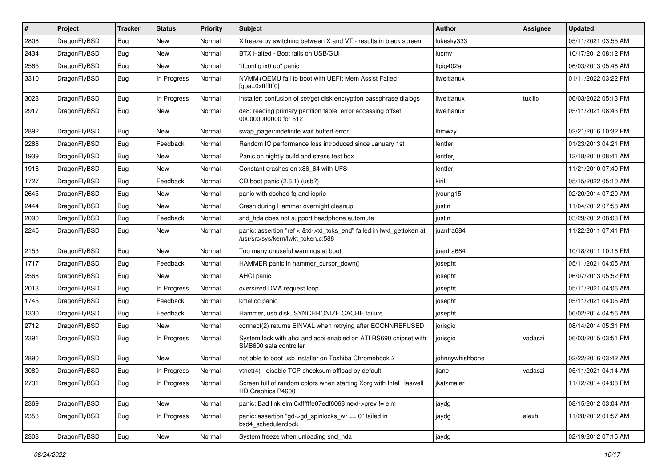| #    | Project      | <b>Tracker</b> | <b>Status</b> | <b>Priority</b> | <b>Subject</b>                                                                                             | Author          | Assignee | <b>Updated</b>      |
|------|--------------|----------------|---------------|-----------------|------------------------------------------------------------------------------------------------------------|-----------------|----------|---------------------|
| 2808 | DragonFlyBSD | Bug            | <b>New</b>    | Normal          | X freeze by switching between X and VT - results in black screen                                           | lukesky333      |          | 05/11/2021 03:55 AM |
| 2434 | DragonFlyBSD | <b>Bug</b>     | <b>New</b>    | Normal          | BTX Halted - Boot fails on USB/GUI                                                                         | lucmv           |          | 10/17/2012 08:12 PM |
| 2565 | DragonFlyBSD | <b>Bug</b>     | New           | Normal          | "ifconfig ix0 up" panic                                                                                    | Itpig402a       |          | 06/03/2013 05:46 AM |
| 3310 | DragonFlyBSD | Bug            | In Progress   | Normal          | NVMM+QEMU fail to boot with UEFI: Mem Assist Failed<br>[gpa=0xfffffff0]                                    | liweitianux     |          | 01/11/2022 03:22 PM |
| 3028 | DragonFlyBSD | Bug            | In Progress   | Normal          | installer: confusion of set/get disk encryption passphrase dialogs                                         | liweitianux     | tuxillo  | 06/03/2022 05:13 PM |
| 2917 | DragonFlyBSD | Bug            | <b>New</b>    | Normal          | da8: reading primary partition table: error accessing offset<br>000000000000 for 512                       | liweitianux     |          | 05/11/2021 08:43 PM |
| 2892 | DragonFlyBSD | Bug            | <b>New</b>    | Normal          | swap_pager:indefinite wait bufferf error                                                                   | lhmwzy          |          | 02/21/2016 10:32 PM |
| 2288 | DragonFlyBSD | Bug            | Feedback      | Normal          | Random IO performance loss introduced since January 1st                                                    | lentferj        |          | 01/23/2013 04:21 PM |
| 1939 | DragonFlyBSD | Bug            | <b>New</b>    | Normal          | Panic on nightly build and stress test box                                                                 | lentferj        |          | 12/18/2010 08:41 AM |
| 1916 | DragonFlyBSD | Bug            | <b>New</b>    | Normal          | Constant crashes on x86 64 with UFS                                                                        | lentferj        |          | 11/21/2010 07:40 PM |
| 1727 | DragonFlyBSD | <b>Bug</b>     | Feedback      | Normal          | CD boot panic (2.6.1) (usb?)                                                                               | kiril           |          | 05/15/2022 05:10 AM |
| 2645 | DragonFlyBSD | Bug            | New           | Normal          | panic with dsched fq and ioprio                                                                            | jyoung15        |          | 02/20/2014 07:29 AM |
| 2444 | DragonFlyBSD | Bug            | <b>New</b>    | Normal          | Crash during Hammer overnight cleanup                                                                      | justin          |          | 11/04/2012 07:58 AM |
| 2090 | DragonFlyBSD | Bug            | Feedback      | Normal          | snd_hda does not support headphone automute                                                                | justin          |          | 03/29/2012 08:03 PM |
| 2245 | DragonFlyBSD | <b>Bug</b>     | New           | Normal          | panic: assertion "ref < &td->td_toks_end" failed in lwkt_gettoken at<br>/usr/src/sys/kern/lwkt_token.c:588 | juanfra684      |          | 11/22/2011 07:41 PM |
| 2153 | DragonFlyBSD | Bug            | New           | Normal          | Too many unuseful warnings at boot                                                                         | juanfra684      |          | 10/18/2011 10:16 PM |
| 1717 | DragonFlyBSD | Bug            | Feedback      | Normal          | HAMMER panic in hammer_cursor_down()                                                                       | josepht1        |          | 05/11/2021 04:05 AM |
| 2568 | DragonFlyBSD | Bug            | New           | Normal          | AHCI panic                                                                                                 | josepht         |          | 06/07/2013 05:52 PM |
| 2013 | DragonFlyBSD | <b>Bug</b>     | In Progress   | Normal          | oversized DMA request loop                                                                                 | josepht         |          | 05/11/2021 04:06 AM |
| 1745 | DragonFlyBSD | <b>Bug</b>     | Feedback      | Normal          | kmalloc panic                                                                                              | josepht         |          | 05/11/2021 04:05 AM |
| 1330 | DragonFlyBSD | Bug            | Feedback      | Normal          | Hammer, usb disk, SYNCHRONIZE CACHE failure                                                                | josepht         |          | 06/02/2014 04:56 AM |
| 2712 | DragonFlyBSD | Bug            | New           | Normal          | connect(2) returns EINVAL when retrying after ECONNREFUSED                                                 | jorisgio        |          | 08/14/2014 05:31 PM |
| 2391 | DragonFlyBSD | Bug            | In Progress   | Normal          | System lock with ahci and acpi enabled on ATI RS690 chipset with<br>SMB600 sata controller                 | jorisgio        | vadaszi  | 06/03/2015 03:51 PM |
| 2890 | DragonFlyBSD | Bug            | New           | Normal          | not able to boot usb installer on Toshiba Chromebook 2                                                     | johnnywhishbone |          | 02/22/2016 03:42 AM |
| 3089 | DragonFlyBSD | <b>Bug</b>     | In Progress   | Normal          | vtnet(4) - disable TCP checksum offload by default                                                         | jlane           | vadaszi  | 05/11/2021 04:14 AM |
| 2731 | DragonFlyBSD | <b>Bug</b>     | In Progress   | Normal          | Screen full of random colors when starting Xorg with Intel Haswell<br>HD Graphics P4600                    | jkatzmaier      |          | 11/12/2014 04:08 PM |
| 2369 | DragonFlyBSD | <b>Bug</b>     | New           | Normal          | panic: Bad link elm 0xffffffe07edf6068 next->prev != elm                                                   | jaydg           |          | 08/15/2012 03:04 AM |
| 2353 | DragonFlyBSD | <b>Bug</b>     | In Progress   | Normal          | panic: assertion "gd->gd_spinlocks_wr == 0" failed in<br>bsd4_schedulerclock                               | jaydg           | alexh    | 11/28/2012 01:57 AM |
| 2308 | DragonFlyBSD | <b>Bug</b>     | New           | Normal          | System freeze when unloading snd_hda                                                                       | jaydg           |          | 02/19/2012 07:15 AM |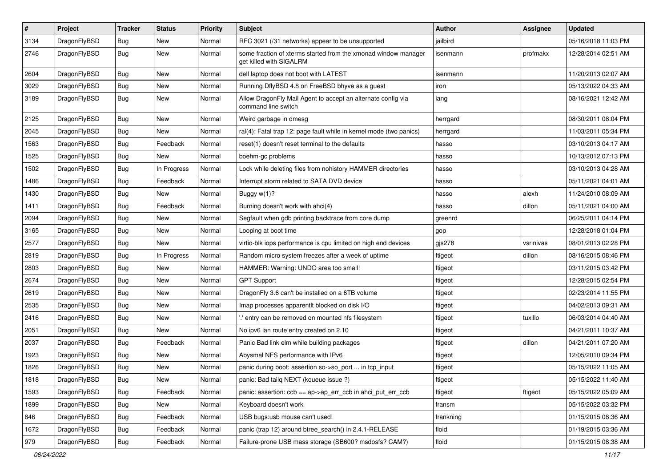| $\pmb{\#}$ | Project      | <b>Tracker</b> | <b>Status</b> | <b>Priority</b> | Subject                                                                                   | <b>Author</b> | <b>Assignee</b> | <b>Updated</b>      |
|------------|--------------|----------------|---------------|-----------------|-------------------------------------------------------------------------------------------|---------------|-----------------|---------------------|
| 3134       | DragonFlyBSD | Bug            | New           | Normal          | RFC 3021 (/31 networks) appear to be unsupported                                          | jailbird      |                 | 05/16/2018 11:03 PM |
| 2746       | DragonFlyBSD | Bug            | New           | Normal          | some fraction of xterms started from the xmonad window manager<br>get killed with SIGALRM | isenmann      | profmakx        | 12/28/2014 02:51 AM |
| 2604       | DragonFlyBSD | Bug            | New           | Normal          | dell laptop does not boot with LATEST                                                     | isenmann      |                 | 11/20/2013 02:07 AM |
| 3029       | DragonFlyBSD | Bug            | <b>New</b>    | Normal          | Running DflyBSD 4.8 on FreeBSD bhyve as a guest                                           | iron          |                 | 05/13/2022 04:33 AM |
| 3189       | DragonFlyBSD | Bug            | New           | Normal          | Allow DragonFly Mail Agent to accept an alternate config via<br>command line switch       | iang          |                 | 08/16/2021 12:42 AM |
| 2125       | DragonFlyBSD | Bug            | New           | Normal          | Weird garbage in dmesg                                                                    | herrgard      |                 | 08/30/2011 08:04 PM |
| 2045       | DragonFlyBSD | Bug            | <b>New</b>    | Normal          | ral(4): Fatal trap 12: page fault while in kernel mode (two panics)                       | herrgard      |                 | 11/03/2011 05:34 PM |
| 1563       | DragonFlyBSD | Bug            | Feedback      | Normal          | reset(1) doesn't reset terminal to the defaults                                           | hasso         |                 | 03/10/2013 04:17 AM |
| 1525       | DragonFlyBSD | <b>Bug</b>     | New           | Normal          | boehm-gc problems                                                                         | hasso         |                 | 10/13/2012 07:13 PM |
| 1502       | DragonFlyBSD | Bug            | In Progress   | Normal          | Lock while deleting files from nohistory HAMMER directories                               | hasso         |                 | 03/10/2013 04:28 AM |
| 1486       | DragonFlyBSD | Bug            | Feedback      | Normal          | Interrupt storm related to SATA DVD device                                                | hasso         |                 | 05/11/2021 04:01 AM |
| 1430       | DragonFlyBSD | Bug            | <b>New</b>    | Normal          | Buggy $w(1)$ ?                                                                            | hasso         | alexh           | 11/24/2010 08:09 AM |
| 1411       | DragonFlyBSD | <b>Bug</b>     | Feedback      | Normal          | Burning doesn't work with ahci(4)                                                         | hasso         | dillon          | 05/11/2021 04:00 AM |
| 2094       | DragonFlyBSD | Bug            | <b>New</b>    | Normal          | Segfault when gdb printing backtrace from core dump                                       | greenrd       |                 | 06/25/2011 04:14 PM |
| 3165       | DragonFlyBSD | Bug            | New           | Normal          | Looping at boot time                                                                      | gop           |                 | 12/28/2018 01:04 PM |
| 2577       | DragonFlyBSD | Bug            | New           | Normal          | virtio-blk iops performance is cpu limited on high end devices                            | $g$ js278     | vsrinivas       | 08/01/2013 02:28 PM |
| 2819       | DragonFlyBSD | Bug            | In Progress   | Normal          | Random micro system freezes after a week of uptime                                        | ftigeot       | dillon          | 08/16/2015 08:46 PM |
| 2803       | DragonFlyBSD | Bug            | New           | Normal          | HAMMER: Warning: UNDO area too small!                                                     | ftigeot       |                 | 03/11/2015 03:42 PM |
| 2674       | DragonFlyBSD | Bug            | New           | Normal          | <b>GPT Support</b>                                                                        | ftigeot       |                 | 12/28/2015 02:54 PM |
| 2619       | DragonFlyBSD | <b>Bug</b>     | New           | Normal          | DragonFly 3.6 can't be installed on a 6TB volume                                          | ftigeot       |                 | 02/23/2014 11:55 PM |
| 2535       | DragonFlyBSD | Bug            | <b>New</b>    | Normal          | Imap processes apparentlt blocked on disk I/O                                             | ftigeot       |                 | 04/02/2013 09:31 AM |
| 2416       | DragonFlyBSD | <b>Bug</b>     | New           | Normal          | ".' entry can be removed on mounted nfs filesystem                                        | ftigeot       | tuxillo         | 06/03/2014 04:40 AM |
| 2051       | DragonFlyBSD | Bug            | New           | Normal          | No ipv6 lan route entry created on 2.10                                                   | ftigeot       |                 | 04/21/2011 10:37 AM |
| 2037       | DragonFlyBSD | Bug            | Feedback      | Normal          | Panic Bad link elm while building packages                                                | ftigeot       | dillon          | 04/21/2011 07:20 AM |
| 1923       | DragonFlyBSD | <b>Bug</b>     | <b>New</b>    | Normal          | Abysmal NFS performance with IPv6                                                         | ftigeot       |                 | 12/05/2010 09:34 PM |
| 1826       | DragonFlyBSD | Bug            | <b>New</b>    | Normal          | panic during boot: assertion so->so_port  in tcp_input                                    | ftigeot       |                 | 05/15/2022 11:05 AM |
| 1818       | DragonFlyBSD | Bug            | New           | Normal          | panic: Bad tailq NEXT (kqueue issue ?)                                                    | ftigeot       |                 | 05/15/2022 11:40 AM |
| 1593       | DragonFlyBSD | <b>Bug</b>     | Feedback      | Normal          | panic: assertion: $\cosh ==$ ap- $\gt$ ap err $\cosh$ in ahci put err $\cosh$             | ftigeot       | ftigeot         | 05/15/2022 05:09 AM |
| 1899       | DragonFlyBSD | <b>Bug</b>     | New           | Normal          | Keyboard doesn't work                                                                     | fransm        |                 | 05/15/2022 03:32 PM |
| 846        | DragonFlyBSD | <b>Bug</b>     | Feedback      | Normal          | USB bugs:usb mouse can't used!                                                            | frankning     |                 | 01/15/2015 08:36 AM |
| 1672       | DragonFlyBSD | <b>Bug</b>     | Feedback      | Normal          | panic (trap 12) around btree_search() in 2.4.1-RELEASE                                    | floid         |                 | 01/19/2015 03:36 AM |
| 979        | DragonFlyBSD | <b>Bug</b>     | Feedback      | Normal          | Failure-prone USB mass storage (SB600? msdosfs? CAM?)                                     | floid         |                 | 01/15/2015 08:38 AM |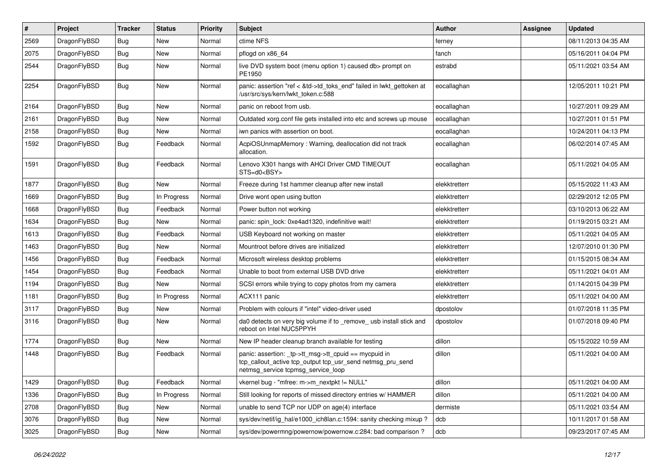| $\sharp$ | Project      | <b>Tracker</b> | <b>Status</b> | <b>Priority</b> | Subject                                                                                                                                                   | <b>Author</b> | Assignee | <b>Updated</b>      |
|----------|--------------|----------------|---------------|-----------------|-----------------------------------------------------------------------------------------------------------------------------------------------------------|---------------|----------|---------------------|
| 2569     | DragonFlyBSD | Bug            | New           | Normal          | ctime NFS                                                                                                                                                 | ferney        |          | 08/11/2013 04:35 AM |
| 2075     | DragonFlyBSD | <b>Bug</b>     | <b>New</b>    | Normal          | pflogd on x86_64                                                                                                                                          | fanch         |          | 05/16/2011 04:04 PM |
| 2544     | DragonFlyBSD | Bug            | <b>New</b>    | Normal          | live DVD system boot (menu option 1) caused db> prompt on<br>PE1950                                                                                       | estrabd       |          | 05/11/2021 03:54 AM |
| 2254     | DragonFlyBSD | <b>Bug</b>     | <b>New</b>    | Normal          | panic: assertion "ref < &td->td_toks_end" failed in lwkt_gettoken at<br>/usr/src/sys/kern/lwkt_token.c:588                                                | eocallaghan   |          | 12/05/2011 10:21 PM |
| 2164     | DragonFlyBSD | Bug            | <b>New</b>    | Normal          | panic on reboot from usb.                                                                                                                                 | eocallaghan   |          | 10/27/2011 09:29 AM |
| 2161     | DragonFlyBSD | Bug            | <b>New</b>    | Normal          | Outdated xorg.conf file gets installed into etc and screws up mouse                                                                                       | eocallaghan   |          | 10/27/2011 01:51 PM |
| 2158     | DragonFlyBSD | Bug            | New           | Normal          | iwn panics with assertion on boot.                                                                                                                        | eocallaghan   |          | 10/24/2011 04:13 PM |
| 1592     | DragonFlyBSD | <b>Bug</b>     | Feedback      | Normal          | AcpiOSUnmapMemory: Warning, deallocation did not track<br>allocation.                                                                                     | eocallaghan   |          | 06/02/2014 07:45 AM |
| 1591     | DragonFlyBSD | Bug            | Feedback      | Normal          | Lenovo X301 hangs with AHCI Driver CMD TIMEOUT<br>STS=d0 <bsy></bsy>                                                                                      | eocallaghan   |          | 05/11/2021 04:05 AM |
| 1877     | DragonFlyBSD | Bug            | New           | Normal          | Freeze during 1st hammer cleanup after new install                                                                                                        | elekktretterr |          | 05/15/2022 11:43 AM |
| 1669     | DragonFlyBSD | Bug            | In Progress   | Normal          | Drive wont open using button                                                                                                                              | elekktretterr |          | 02/29/2012 12:05 PM |
| 1668     | DragonFlyBSD | Bug            | Feedback      | Normal          | Power button not working                                                                                                                                  | elekktretterr |          | 03/10/2013 06:22 AM |
| 1634     | DragonFlyBSD | Bug            | New           | Normal          | panic: spin lock: 0xe4ad1320, indefinitive wait!                                                                                                          | elekktretterr |          | 01/19/2015 03:21 AM |
| 1613     | DragonFlyBSD | Bug            | Feedback      | Normal          | USB Keyboard not working on master                                                                                                                        | elekktretterr |          | 05/11/2021 04:05 AM |
| 1463     | DragonFlyBSD | Bug            | New           | Normal          | Mountroot before drives are initialized                                                                                                                   | elekktretterr |          | 12/07/2010 01:30 PM |
| 1456     | DragonFlyBSD | Bug            | Feedback      | Normal          | Microsoft wireless desktop problems                                                                                                                       | elekktretterr |          | 01/15/2015 08:34 AM |
| 1454     | DragonFlyBSD | Bug            | Feedback      | Normal          | Unable to boot from external USB DVD drive                                                                                                                | elekktretterr |          | 05/11/2021 04:01 AM |
| 1194     | DragonFlyBSD | Bug            | New           | Normal          | SCSI errors while trying to copy photos from my camera                                                                                                    | elekktretterr |          | 01/14/2015 04:39 PM |
| 1181     | DragonFlyBSD | Bug            | In Progress   | Normal          | ACX111 panic                                                                                                                                              | elekktretterr |          | 05/11/2021 04:00 AM |
| 3117     | DragonFlyBSD | Bug            | New           | Normal          | Problem with colours if "intel" video-driver used                                                                                                         | dpostolov     |          | 01/07/2018 11:35 PM |
| 3116     | DragonFlyBSD | Bug            | New           | Normal          | da0 detects on very big volume if to _remove_ usb install stick and<br>reboot on Intel NUC5PPYH                                                           | dpostolov     |          | 01/07/2018 09:40 PM |
| 1774     | DragonFlyBSD | Bug            | <b>New</b>    | Normal          | New IP header cleanup branch available for testing                                                                                                        | dillon        |          | 05/15/2022 10:59 AM |
| 1448     | DragonFlyBSD | Bug            | Feedback      | Normal          | panic: assertion: _tp->tt_msg->tt_cpuid == mycpuid in<br>tcp_callout_active tcp_output tcp_usr_send netmsg_pru_send<br>netmsg_service tcpmsg_service_loop | dillon        |          | 05/11/2021 04:00 AM |
| 1429     | DragonFlyBSD | Bug            | Feedback      | Normal          | vkernel bug - "mfree: m->m_nextpkt != NULL"                                                                                                               | dillon        |          | 05/11/2021 04:00 AM |
| 1336     | DragonFlyBSD | <b>Bug</b>     | In Progress   | Normal          | Still looking for reports of missed directory entries w/ HAMMER                                                                                           | dillon        |          | 05/11/2021 04:00 AM |
| 2708     | DragonFlyBSD | <b>Bug</b>     | New           | Normal          | unable to send TCP nor UDP on age(4) interface                                                                                                            | dermiste      |          | 05/11/2021 03:54 AM |
| 3076     | DragonFlyBSD | <b>Bug</b>     | <b>New</b>    | Normal          | sys/dev/netif/ig_hal/e1000_ich8lan.c:1594: sanity checking mixup?                                                                                         | dcb           |          | 10/11/2017 01:58 AM |
| 3025     | DragonFlyBSD | <b>Bug</b>     | New           | Normal          | sys/dev/powermng/powernow/powernow.c:284: bad comparison ?                                                                                                | dcb           |          | 09/23/2017 07:45 AM |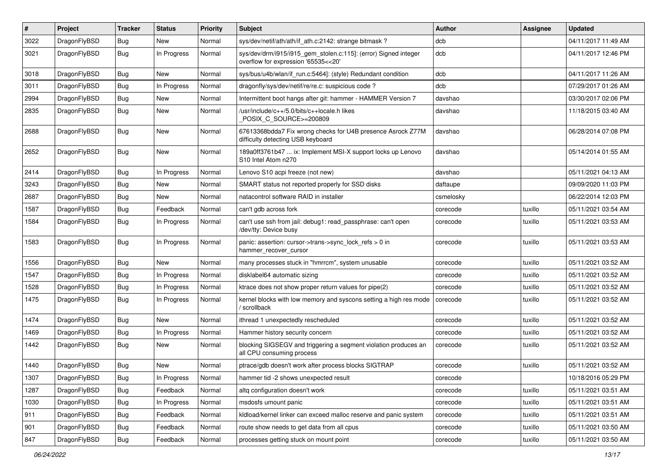| #    | Project      | <b>Tracker</b> | <b>Status</b> | <b>Priority</b> | <b>Subject</b>                                                                                         | Author    | <b>Assignee</b> | <b>Updated</b>      |
|------|--------------|----------------|---------------|-----------------|--------------------------------------------------------------------------------------------------------|-----------|-----------------|---------------------|
| 3022 | DragonFlyBSD | Bug            | <b>New</b>    | Normal          | sys/dev/netif/ath/ath/if ath.c:2142: strange bitmask?                                                  | dcb       |                 | 04/11/2017 11:49 AM |
| 3021 | DragonFlyBSD | <b>Bug</b>     | In Progress   | Normal          | sys/dev/drm/i915/i915_gem_stolen.c:115]: (error) Signed integer<br>overflow for expression '65535<<20' | dcb       |                 | 04/11/2017 12:46 PM |
| 3018 | DragonFlyBSD | Bug            | New           | Normal          | sys/bus/u4b/wlan/if_run.c:5464]: (style) Redundant condition                                           | dcb       |                 | 04/11/2017 11:26 AM |
| 3011 | DragonFlyBSD | Bug            | In Progress   | Normal          | dragonfly/sys/dev/netif/re/re.c: suspicious code?                                                      | dcb       |                 | 07/29/2017 01:26 AM |
| 2994 | DragonFlyBSD | Bug            | New           | Normal          | Intermittent boot hangs after git: hammer - HAMMER Version 7                                           | davshao   |                 | 03/30/2017 02:06 PM |
| 2835 | DragonFlyBSD | <b>Bug</b>     | <b>New</b>    | Normal          | /usr/include/c++/5.0/bits/c++locale.h likes<br>POSIX C_SOURCE>=200809                                  | davshao   |                 | 11/18/2015 03:40 AM |
| 2688 | DragonFlyBSD | Bug            | <b>New</b>    | Normal          | 67613368bdda7 Fix wrong checks for U4B presence Asrock Z77M<br>difficulty detecting USB keyboard       | davshao   |                 | 06/28/2014 07:08 PM |
| 2652 | DragonFlyBSD | Bug            | <b>New</b>    | Normal          | 189a0ff3761b47  ix: Implement MSI-X support locks up Lenovo<br>S10 Intel Atom n270                     | davshao   |                 | 05/14/2014 01:55 AM |
| 2414 | DragonFlyBSD | Bug            | In Progress   | Normal          | Lenovo S10 acpi freeze (not new)                                                                       | davshao   |                 | 05/11/2021 04:13 AM |
| 3243 | DragonFlyBSD | Bug            | <b>New</b>    | Normal          | SMART status not reported properly for SSD disks                                                       | daftaupe  |                 | 09/09/2020 11:03 PM |
| 2687 | DragonFlyBSD | Bug            | New           | Normal          | natacontrol software RAID in installer                                                                 | csmelosky |                 | 06/22/2014 12:03 PM |
| 1587 | DragonFlyBSD | Bug            | Feedback      | Normal          | can't gdb across fork                                                                                  | corecode  | tuxillo         | 05/11/2021 03:54 AM |
| 1584 | DragonFlyBSD | Bug            | In Progress   | Normal          | can't use ssh from jail: debug1: read_passphrase: can't open<br>/dev/tty: Device busy                  | corecode  | tuxillo         | 05/11/2021 03:53 AM |
| 1583 | DragonFlyBSD | Bug            | In Progress   | Normal          | panic: assertion: cursor->trans->sync_lock_refs > 0 in<br>hammer recover cursor                        | corecode  | tuxillo         | 05/11/2021 03:53 AM |
| 1556 | DragonFlyBSD | Bug            | New           | Normal          | many processes stuck in "hmrrcm", system unusable                                                      | corecode  | tuxillo         | 05/11/2021 03:52 AM |
| 1547 | DragonFlyBSD | Bug            | In Progress   | Normal          | disklabel64 automatic sizing                                                                           | corecode  | tuxillo         | 05/11/2021 03:52 AM |
| 1528 | DragonFlyBSD | Bug            | In Progress   | Normal          | ktrace does not show proper return values for pipe(2)                                                  | corecode  | tuxillo         | 05/11/2021 03:52 AM |
| 1475 | DragonFlyBSD | Bug            | In Progress   | Normal          | kernel blocks with low memory and syscons setting a high res mode<br>scrollback                        | corecode  | tuxillo         | 05/11/2021 03:52 AM |
| 1474 | DragonFlyBSD | Bug            | <b>New</b>    | Normal          | ithread 1 unexpectedly rescheduled                                                                     | corecode  | tuxillo         | 05/11/2021 03:52 AM |
| 1469 | DragonFlyBSD | Bug            | In Progress   | Normal          | Hammer history security concern                                                                        | corecode  | tuxillo         | 05/11/2021 03:52 AM |
| 1442 | DragonFlyBSD | Bug            | New           | Normal          | blocking SIGSEGV and triggering a segment violation produces an<br>all CPU consuming process           | corecode  | tuxillo         | 05/11/2021 03:52 AM |
| 1440 | DragonFlyBSD | Bug            | <b>New</b>    | Normal          | ptrace/gdb doesn't work after process blocks SIGTRAP                                                   | corecode  | tuxillo         | 05/11/2021 03:52 AM |
| 1307 | DragonFlyBSD | Bug            | In Progress   | Normal          | hammer tid -2 shows unexpected result                                                                  | corecode  |                 | 10/18/2016 05:29 PM |
| 1287 | DragonFlyBSD | Bug            | Feedback      | Normal          | altg configuration doesn't work                                                                        | corecode  | tuxillo         | 05/11/2021 03:51 AM |
| 1030 | DragonFlyBSD | <b>Bug</b>     | In Progress   | Normal          | msdosfs umount panic                                                                                   | corecode  | tuxillo         | 05/11/2021 03:51 AM |
| 911  | DragonFlyBSD | Bug            | Feedback      | Normal          | kldload/kernel linker can exceed malloc reserve and panic system                                       | corecode  | tuxillo         | 05/11/2021 03:51 AM |
| 901  | DragonFlyBSD | Bug            | Feedback      | Normal          | route show needs to get data from all cpus                                                             | corecode  | tuxillo         | 05/11/2021 03:50 AM |
| 847  | DragonFlyBSD | Bug            | Feedback      | Normal          | processes getting stuck on mount point                                                                 | corecode  | tuxillo         | 05/11/2021 03:50 AM |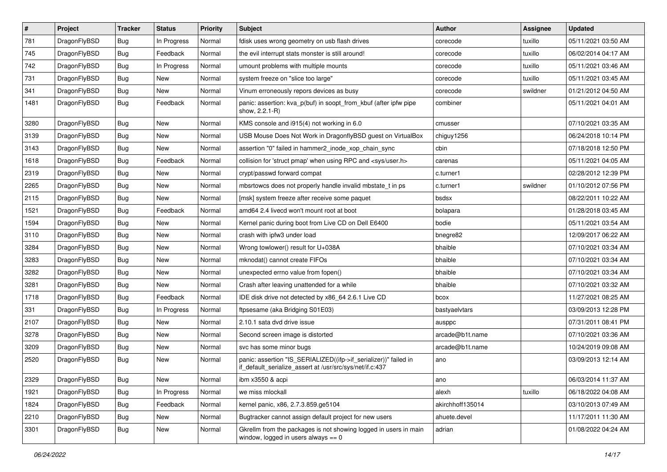| $\sharp$ | Project      | <b>Tracker</b> | <b>Status</b> | <b>Priority</b> | Subject                                                                                                                      | <b>Author</b>    | Assignee | <b>Updated</b>      |
|----------|--------------|----------------|---------------|-----------------|------------------------------------------------------------------------------------------------------------------------------|------------------|----------|---------------------|
| 781      | DragonFlyBSD | Bug            | In Progress   | Normal          | fdisk uses wrong geometry on usb flash drives                                                                                | corecode         | tuxillo  | 05/11/2021 03:50 AM |
| 745      | DragonFlyBSD | Bug            | Feedback      | Normal          | the evil interrupt stats monster is still around!                                                                            | corecode         | tuxillo  | 06/02/2014 04:17 AM |
| 742      | DragonFlyBSD | Bug            | In Progress   | Normal          | umount problems with multiple mounts                                                                                         | corecode         | tuxillo  | 05/11/2021 03:46 AM |
| 731      | DragonFlyBSD | Bug            | <b>New</b>    | Normal          | system freeze on "slice too large"                                                                                           | corecode         | tuxillo  | 05/11/2021 03:45 AM |
| 341      | DragonFlyBSD | Bug            | <b>New</b>    | Normal          | Vinum erroneously repors devices as busy                                                                                     | corecode         | swildner | 01/21/2012 04:50 AM |
| 1481     | DragonFlyBSD | Bug            | Feedback      | Normal          | panic: assertion: kva_p(buf) in soopt_from_kbuf (after ipfw pipe<br>show, 2.2.1-R)                                           | combiner         |          | 05/11/2021 04:01 AM |
| 3280     | DragonFlyBSD | Bug            | New           | Normal          | KMS console and i915(4) not working in 6.0                                                                                   | cmusser          |          | 07/10/2021 03:35 AM |
| 3139     | DragonFlyBSD | Bug            | New           | Normal          | USB Mouse Does Not Work in DragonflyBSD guest on VirtualBox                                                                  | chiguy1256       |          | 06/24/2018 10:14 PM |
| 3143     | DragonFlyBSD | Bug            | <b>New</b>    | Normal          | assertion "0" failed in hammer2_inode_xop_chain_sync                                                                         | cbin             |          | 07/18/2018 12:50 PM |
| 1618     | DragonFlyBSD | Bug            | Feedback      | Normal          | collision for 'struct pmap' when using RPC and <sys user.h=""></sys>                                                         | carenas          |          | 05/11/2021 04:05 AM |
| 2319     | DragonFlyBSD | Bug            | <b>New</b>    | Normal          | crypt/passwd forward compat                                                                                                  | c.turner1        |          | 02/28/2012 12:39 PM |
| 2265     | DragonFlyBSD | Bug            | New           | Normal          | mbsrtowcs does not properly handle invalid mbstate t in ps                                                                   | c.turner1        | swildner | 01/10/2012 07:56 PM |
| 2115     | DragonFlyBSD | Bug            | New           | Normal          | [msk] system freeze after receive some paquet                                                                                | bsdsx            |          | 08/22/2011 10:22 AM |
| 1521     | DragonFlyBSD | Bug            | Feedback      | Normal          | amd64 2.4 livecd won't mount root at boot                                                                                    | bolapara         |          | 01/28/2018 03:45 AM |
| 1594     | DragonFlyBSD | Bug            | New           | Normal          | Kernel panic during boot from Live CD on Dell E6400                                                                          | bodie            |          | 05/11/2021 03:54 AM |
| 3110     | DragonFlyBSD | Bug            | <b>New</b>    | Normal          | crash with ipfw3 under load                                                                                                  | bnegre82         |          | 12/09/2017 06:22 AM |
| 3284     | DragonFlyBSD | Bug            | New           | Normal          | Wrong towlower() result for U+038A                                                                                           | bhaible          |          | 07/10/2021 03:34 AM |
| 3283     | DragonFlyBSD | Bug            | New           | Normal          | mknodat() cannot create FIFOs                                                                                                | bhaible          |          | 07/10/2021 03:34 AM |
| 3282     | DragonFlyBSD | Bug            | <b>New</b>    | Normal          | unexpected errno value from fopen()                                                                                          | bhaible          |          | 07/10/2021 03:34 AM |
| 3281     | DragonFlyBSD | Bug            | <b>New</b>    | Normal          | Crash after leaving unattended for a while                                                                                   | bhaible          |          | 07/10/2021 03:32 AM |
| 1718     | DragonFlyBSD | <b>Bug</b>     | Feedback      | Normal          | IDE disk drive not detected by x86_64 2.6.1 Live CD                                                                          | bcox             |          | 11/27/2021 08:25 AM |
| 331      | DragonFlyBSD | Bug            | In Progress   | Normal          | ftpsesame (aka Bridging S01E03)                                                                                              | bastyaelvtars    |          | 03/09/2013 12:28 PM |
| 2107     | DragonFlyBSD | Bug            | New           | Normal          | 2.10.1 sata dvd drive issue                                                                                                  | ausppc           |          | 07/31/2011 08:41 PM |
| 3278     | DragonFlyBSD | Bug            | New           | Normal          | Second screen image is distorted                                                                                             | arcade@b1t.name  |          | 07/10/2021 03:36 AM |
| 3209     | DragonFlyBSD | Bug            | New           | Normal          | svc has some minor bugs                                                                                                      | arcade@b1t.name  |          | 10/24/2019 09:08 AM |
| 2520     | DragonFlyBSD | Bug            | <b>New</b>    | Normal          | panic: assertion "IS_SERIALIZED((ifp->if_serializer))" failed in<br>if_default_serialize_assert at /usr/src/sys/net/if.c:437 | ano              |          | 03/09/2013 12:14 AM |
| 2329     | DragonFlyBSD | <b>Bug</b>     | New           | Normal          | ibm x3550 & acpi                                                                                                             | ano              |          | 06/03/2014 11:37 AM |
| 1921     | DragonFlyBSD | <b>Bug</b>     | In Progress   | Normal          | we miss mlockall                                                                                                             | alexh            | tuxillo  | 06/18/2022 04:08 AM |
| 1824     | DragonFlyBSD | <b>Bug</b>     | Feedback      | Normal          | kernel panic, x86, 2.7.3.859.ge5104                                                                                          | akirchhoff135014 |          | 03/10/2013 07:49 AM |
| 2210     | DragonFlyBSD | <b>Bug</b>     | New           | Normal          | Bugtracker cannot assign default project for new users                                                                       | ahuete.devel     |          | 11/17/2011 11:30 AM |
| 3301     | DragonFlyBSD | <b>Bug</b>     | New           | Normal          | Gkrellm from the packages is not showing logged in users in main<br>window, logged in users always $== 0$                    | adrian           |          | 01/08/2022 04:24 AM |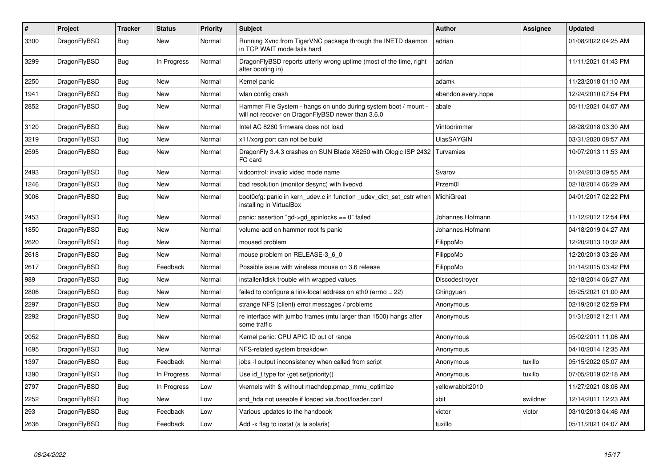| $\vert$ # | Project      | <b>Tracker</b> | <b>Status</b> | <b>Priority</b> | <b>Subject</b>                                                                                                       | <b>Author</b>      | Assignee | <b>Updated</b>      |
|-----------|--------------|----------------|---------------|-----------------|----------------------------------------------------------------------------------------------------------------------|--------------------|----------|---------------------|
| 3300      | DragonFlyBSD | <b>Bug</b>     | <b>New</b>    | Normal          | Running Xvnc from TigerVNC package through the INETD daemon<br>in TCP WAIT mode fails hard                           | adrian             |          | 01/08/2022 04:25 AM |
| 3299      | DragonFlyBSD | <b>Bug</b>     | In Progress   | Normal          | DragonFlyBSD reports utterly wrong uptime (most of the time, right<br>after booting in)                              | adrian             |          | 11/11/2021 01:43 PM |
| 2250      | DragonFlyBSD | <b>Bug</b>     | <b>New</b>    | Normal          | Kernel panic                                                                                                         | adamk              |          | 11/23/2018 01:10 AM |
| 1941      | DragonFlyBSD | Bug            | <b>New</b>    | Normal          | wlan config crash                                                                                                    | abandon.every.hope |          | 12/24/2010 07:54 PM |
| 2852      | DragonFlyBSD | <b>Bug</b>     | <b>New</b>    | Normal          | Hammer File System - hangs on undo during system boot / mount -<br>will not recover on DragonFlyBSD newer than 3.6.0 | abale              |          | 05/11/2021 04:07 AM |
| 3120      | DragonFlyBSD | Bug            | <b>New</b>    | Normal          | Intel AC 8260 firmware does not load                                                                                 | Vintodrimmer       |          | 08/28/2018 03:30 AM |
| 3219      | DragonFlyBSD | Bug            | <b>New</b>    | Normal          | x11/xorg port can not be build                                                                                       | <b>UlasSAYGIN</b>  |          | 03/31/2020 08:57 AM |
| 2595      | DragonFlyBSD | Bug            | <b>New</b>    | Normal          | DragonFly 3.4.3 crashes on SUN Blade X6250 with Qlogic ISP 2432<br>FC card                                           | Turvamies          |          | 10/07/2013 11:53 AM |
| 2493      | DragonFlyBSD | Bug            | <b>New</b>    | Normal          | vidcontrol: invalid video mode name                                                                                  | Svarov             |          | 01/24/2013 09:55 AM |
| 1246      | DragonFlyBSD | <b>Bug</b>     | <b>New</b>    | Normal          | bad resolution (monitor desync) with livedvd                                                                         | Przem0l            |          | 02/18/2014 06:29 AM |
| 3006      | DragonFlyBSD | <b>Bug</b>     | <b>New</b>    | Normal          | boot0cfg: panic in kern udev.c in function udev dict set cstr when<br>installing in VirtualBox                       | MichiGreat         |          | 04/01/2017 02:22 PM |
| 2453      | DragonFlyBSD | Bug            | New           | Normal          | panic: assertion "gd->gd spinlocks == $0$ " failed                                                                   | Johannes.Hofmann   |          | 11/12/2012 12:54 PM |
| 1850      | DragonFlyBSD | <b>Bug</b>     | <b>New</b>    | Normal          | volume-add on hammer root fs panic                                                                                   | Johannes.Hofmann   |          | 04/18/2019 04:27 AM |
| 2620      | DragonFlyBSD | Bug            | <b>New</b>    | Normal          | moused problem                                                                                                       | FilippoMo          |          | 12/20/2013 10:32 AM |
| 2618      | DragonFlyBSD | <b>Bug</b>     | <b>New</b>    | Normal          | mouse problem on RELEASE-3 6 0                                                                                       | FilippoMo          |          | 12/20/2013 03:26 AM |
| 2617      | DragonFlyBSD | <b>Bug</b>     | Feedback      | Normal          | Possible issue with wireless mouse on 3.6 release                                                                    | FilippoMo          |          | 01/14/2015 03:42 PM |
| 989       | DragonFlyBSD | <b>Bug</b>     | <b>New</b>    | Normal          | installer/fdisk trouble with wrapped values                                                                          | Discodestroyer     |          | 02/18/2014 06:27 AM |
| 2806      | DragonFlyBSD | Bug            | <b>New</b>    | Normal          | failed to configure a link-local address on ath0 (errno = $22$ )                                                     | Chingyuan          |          | 05/25/2021 01:00 AM |
| 2297      | DragonFlyBSD | <b>Bug</b>     | <b>New</b>    | Normal          | strange NFS (client) error messages / problems                                                                       | Anonymous          |          | 02/19/2012 02:59 PM |
| 2292      | DragonFlyBSD | <b>Bug</b>     | <b>New</b>    | Normal          | re interface with jumbo frames (mtu larger than 1500) hangs after<br>some traffic                                    | Anonymous          |          | 01/31/2012 12:11 AM |
| 2052      | DragonFlyBSD | Bug            | <b>New</b>    | Normal          | Kernel panic: CPU APIC ID out of range                                                                               | Anonymous          |          | 05/02/2011 11:06 AM |
| 1695      | DragonFlyBSD | Bug            | <b>New</b>    | Normal          | NFS-related system breakdown                                                                                         | Anonymous          |          | 04/10/2014 12:35 AM |
| 1397      | DragonFlyBSD | Bug            | Feedback      | Normal          | jobs -I output inconsistency when called from script                                                                 | Anonymous          | tuxillo  | 05/15/2022 05:07 AM |
| 1390      | DragonFlyBSD | <b>Bug</b>     | In Progress   | Normal          | Use id_t type for {get,set}priority()                                                                                | Anonymous          | tuxillo  | 07/05/2019 02:18 AM |
| 2797      | DragonFlyBSD | Bug            | In Progress   | Low             | vkernels with & without machdep.pmap mmu optimize                                                                    | yellowrabbit2010   |          | 11/27/2021 08:06 AM |
| 2252      | DragonFlyBSD | <b>Bug</b>     | <b>New</b>    | Low             | snd hda not useable if loaded via /boot/loader.conf                                                                  | xbit               | swildner | 12/14/2011 12:23 AM |
| 293       | DragonFlyBSD | <b>Bug</b>     | Feedback      | Low             | Various updates to the handbook                                                                                      | victor             | victor   | 03/10/2013 04:46 AM |
| 2636      | DragonFlyBSD | <b>Bug</b>     | Feedback      | Low             | Add -x flag to iostat (a la solaris)                                                                                 | tuxillo            |          | 05/11/2021 04:07 AM |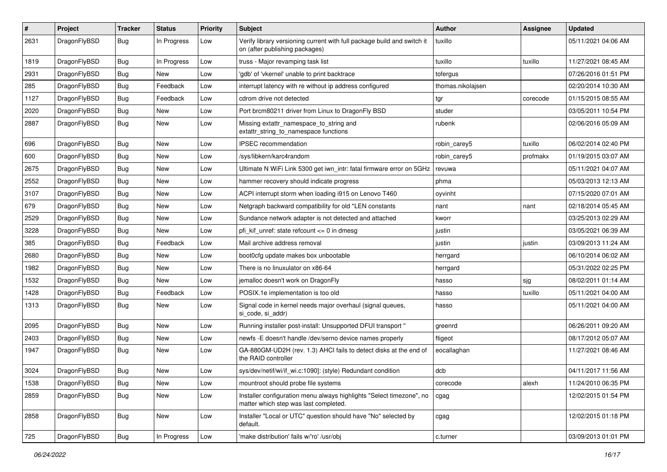| $\vert$ # | Project      | <b>Tracker</b> | <b>Status</b> | <b>Priority</b> | <b>Subject</b>                                                                                                | <b>Author</b>     | <b>Assignee</b> | <b>Updated</b>      |
|-----------|--------------|----------------|---------------|-----------------|---------------------------------------------------------------------------------------------------------------|-------------------|-----------------|---------------------|
| 2631      | DragonFlyBSD | Bug            | In Progress   | Low             | Verify library versioning current with full package build and switch it<br>on (after publishing packages)     | tuxillo           |                 | 05/11/2021 04:06 AM |
| 1819      | DragonFlyBSD | Bug            | In Progress   | Low             | truss - Major revamping task list                                                                             | tuxillo           | tuxillo         | 11/27/2021 08:45 AM |
| 2931      | DragonFlyBSD | Bug            | <b>New</b>    | Low             | 'gdb' of 'vkernel' unable to print backtrace                                                                  | tofergus          |                 | 07/26/2016 01:51 PM |
| 285       | DragonFlyBSD | Bug            | Feedback      | Low             | interrupt latency with re without ip address configured                                                       | thomas.nikolajsen |                 | 02/20/2014 10:30 AM |
| 1127      | DragonFlyBSD | <b>Bug</b>     | Feedback      | Low             | cdrom drive not detected                                                                                      | tgr               | corecode        | 01/15/2015 08:55 AM |
| 2020      | DragonFlyBSD | <b>Bug</b>     | <b>New</b>    | Low             | Port brcm80211 driver from Linux to DragonFly BSD                                                             | studer            |                 | 03/05/2011 10:54 PM |
| 2887      | DragonFlyBSD | Bug            | New           | Low             | Missing extattr_namespace_to_string and<br>extattr_string_to_namespace functions                              | rubenk            |                 | 02/06/2016 05:09 AM |
| 696       | DragonFlyBSD | <b>Bug</b>     | <b>New</b>    | Low             | IPSEC recommendation                                                                                          | robin carey5      | tuxillo         | 06/02/2014 02:40 PM |
| 600       | DragonFlyBSD | Bug            | <b>New</b>    | Low             | /sys/libkern/karc4random                                                                                      | robin_carey5      | profmakx        | 01/19/2015 03:07 AM |
| 2675      | DragonFlyBSD | Bug            | <b>New</b>    | Low             | Ultimate N WiFi Link 5300 get iwn intr: fatal firmware error on 5GHz                                          | revuwa            |                 | 05/11/2021 04:07 AM |
| 2552      | DragonFlyBSD | Bug            | <b>New</b>    | Low             | hammer recovery should indicate progress                                                                      | phma              |                 | 05/03/2013 12:13 AM |
| 3107      | DragonFlyBSD | <b>Bug</b>     | <b>New</b>    | Low             | ACPI interrupt storm when loading i915 on Lenovo T460                                                         | oyvinht           |                 | 07/15/2020 07:01 AM |
| 679       | DragonFlyBSD | Bug            | <b>New</b>    | Low             | Netgraph backward compatibility for old *LEN constants                                                        | nant              | nant            | 02/18/2014 05:45 AM |
| 2529      | DragonFlyBSD | Bug            | <b>New</b>    | Low             | Sundance network adapter is not detected and attached                                                         | kworr             |                 | 03/25/2013 02:29 AM |
| 3228      | DragonFlyBSD | Bug            | New           | Low             | pfi kif unref: state refcount $\leq$ 0 in dmesq                                                               | justin            |                 | 03/05/2021 06:39 AM |
| 385       | DragonFlyBSD | Bug            | Feedback      | Low             | Mail archive address removal                                                                                  | justin            | justin          | 03/09/2013 11:24 AM |
| 2680      | DragonFlyBSD | <b>Bug</b>     | New           | Low             | boot0cfg update makes box unbootable                                                                          | herrgard          |                 | 06/10/2014 06:02 AM |
| 1982      | DragonFlyBSD | Bug            | <b>New</b>    | Low             | There is no linuxulator on x86-64                                                                             | herrgard          |                 | 05/31/2022 02:25 PM |
| 1532      | DragonFlyBSD | Bug            | New           | Low             | jemalloc doesn't work on DragonFly                                                                            | hasso             | sjg             | 08/02/2011 01:14 AM |
| 1428      | DragonFlyBSD | <b>Bug</b>     | Feedback      | Low             | POSIX.1e implementation is too old                                                                            | hasso             | tuxillo         | 05/11/2021 04:00 AM |
| 1313      | DragonFlyBSD | Bug            | New           | Low             | Signal code in kernel needs major overhaul (signal queues,<br>si code, si addr)                               | hasso             |                 | 05/11/2021 04:00 AM |
| 2095      | DragonFlyBSD | Bug            | <b>New</b>    | Low             | Running installer post-install: Unsupported DFUI transport "                                                  | greenrd           |                 | 06/26/2011 09:20 AM |
| 2403      | DragonFlyBSD | Bug            | <b>New</b>    | Low             | newfs -E doesn't handle /dev/serno device names properly                                                      | ftigeot           |                 | 08/17/2012 05:07 AM |
| 1947      | DragonFlyBSD | <b>Bug</b>     | New           | Low             | GA-880GM-UD2H (rev. 1.3) AHCI fails to detect disks at the end of<br>the RAID controller                      | eocallaghan       |                 | 11/27/2021 08:46 AM |
| 3024      | DragonFlyBSD | <b>Bug</b>     | New           | Low             | sys/dev/netif/wi/if wi.c:1090]: (style) Redundant condition                                                   | dcb               |                 | 04/11/2017 11:56 AM |
| 1538      | DragonFlyBSD | <b>Bug</b>     | New           | Low             | mountroot should probe file systems                                                                           | corecode          | alexh           | 11/24/2010 06:35 PM |
| 2859      | DragonFlyBSD | Bug            | New           | Low             | Installer configuration menu always highlights "Select timezone", no<br>matter which step was last completed. | cgag              |                 | 12/02/2015 01:54 PM |
| 2858      | DragonFlyBSD | <b>Bug</b>     | New           | Low             | Installer "Local or UTC" question should have "No" selected by<br>default.                                    | cgag              |                 | 12/02/2015 01:18 PM |
| 725       | DragonFlyBSD | <b>Bug</b>     | In Progress   | Low             | 'make distribution' fails w/'ro' /usr/obj                                                                     | c.turner          |                 | 03/09/2013 01:01 PM |